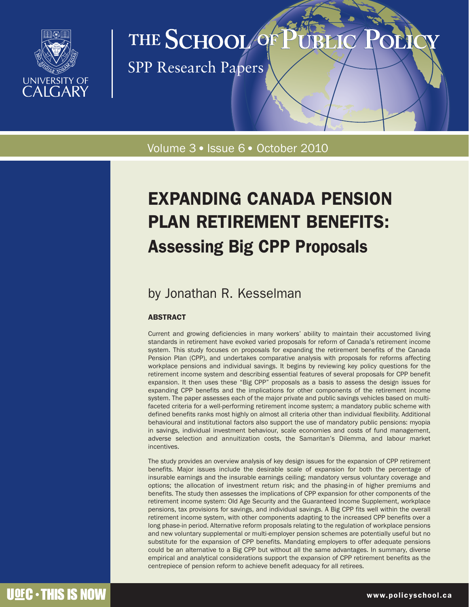

# THE SCHOOL OF

SPP Research Papers

### Volume 3 · Issue 6 · October 2010

## EXPANDING CANADA PENSION PLAN RETIREMENT BENEFITS: Assessing Big CPP Proposals

## by Jonathan R. Kesselman

#### ABSTRACT

Current and growing deficiencies in many workers' ability to maintain their accustomed living standards in retirement have evoked varied proposals for reform of Canada's retirement income system. This study focuses on proposals for expanding the retirement benefits of the Canada Pension Plan (CPP), and undertakes comparative analysis with proposals for reforms affecting workplace pensions and individual savings. It begins by reviewing key policy questions for the retirement income system and describing essential features of several proposals for CPP benefit expansion. It then uses these "Big CPP" proposals as a basis to assess the design issues for expanding CPP benefits and the implications for other components of the retirement income system. The paper assesses each of the major private and public savings vehicles based on multifaceted criteria for a well-performing retirement income system; a mandatory public scheme with defined benefits ranks most highly on almost all criteria other than individual flexibility. Additional behavioural and institutional factors also support the use of mandatory public pensions: myopia in savings, individual investment behaviour, scale economies and costs of fund management, adverse selection and annuitization costs, the Samaritan's Dilemma, and labour market incentives.

The study provides an overview analysis of key design issues for the expansion of CPP retirement benefits. Major issues include the desirable scale of expansion for both the percentage of insurable earnings and the insurable earnings ceiling; mandatory versus voluntary coverage and options; the allocation of investment return risk; and the phasing-in of higher premiums and benefits. The study then assesses the implications of CPP expansion for other components of the retirement income system: Old Age Security and the Guaranteed Income Supplement, workplace pensions, tax provisions for savings, and individual savings. A Big CPP fits well within the overall retirement income system, with other components adapting to the increased CPP benefits over a long phase-in period. Alternative reform proposals relating to the regulation of workplace pensions and new voluntary supplemental or multi-employer pension schemes are potentially useful but no substitute for the expansion of CPP benefits. Mandating employers to offer adequate pensions could be an alternative to a Big CPP but without all the same advantages. In summary, diverse empirical and analytical considerations support the expansion of CPP retirement benefits as the centrepiece of pension reform to achieve benefit adequacy for all retirees.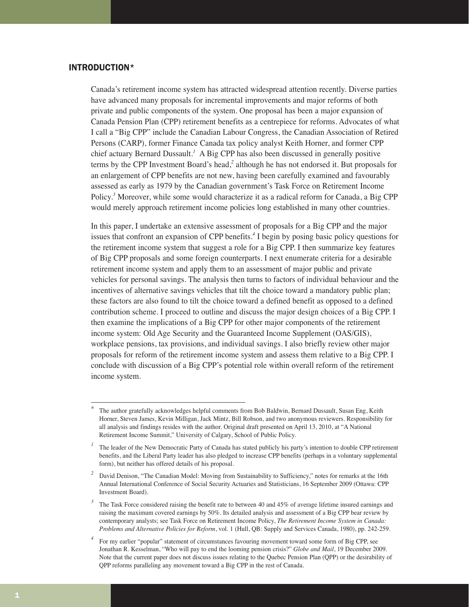#### INTRODUCTION\*

Canada's retirement income system has attracted widespread attention recently. Diverse parties have advanced many proposals for incremental improvements and major reforms of both private and public components of the system. One proposal has been a major expansion of Canada Pension Plan (CPP) retirement benefits as a centrepiece for reforms. Advocates of what I call a "Big CPP" include the Canadian Labour Congress, the Canadian Association of Retired Persons (CARP), former Finance Canada tax policy analyst Keith Horner, and former CPP chief actuary Bernard Dussault.*<sup>1</sup>* A Big CPP has also been discussed in generally positive terms by the CPP Investment Board's head,*<sup>2</sup>* although he has not endorsed it. But proposals for an enlargement of CPP benefits are not new, having been carefully examined and favourably assessed as early as 1979 by the Canadian government's Task Force on Retirement Income Policy.*<sup>3</sup>* Moreover, while some would characterize it as a radical reform for Canada, a Big CPP would merely approach retirement income policies long established in many other countries.

In this paper, I undertake an extensive assessment of proposals for a Big CPP and the major issues that confront an expansion of CPP benefits.*<sup>4</sup>* I begin by posing basic policy questions for the retirement income system that suggest a role for a Big CPP. I then summarize key features of Big CPP proposals and some foreign counterparts. I next enumerate criteria for a desirable retirement income system and apply them to an assessment of major public and private vehicles for personal savings. The analysis then turns to factors of individual behaviour and the incentives of alternative savings vehicles that tilt the choice toward a mandatory public plan; these factors are also found to tilt the choice toward a defined benefit as opposed to a defined contribution scheme. I proceed to outline and discuss the major design choices of a Big CPP. I then examine the implications of a Big CPP for other major components of the retirement income system: Old Age Security and the Guaranteed Income Supplement (OAS/GIS), workplace pensions, tax provisions, and individual savings. I also briefly review other major proposals for reform of the retirement income system and assess them relative to a Big CPP. I conclude with discussion of a Big CPP's potential role within overall reform of the retirement income system.

<sup>\*</sup> The author gratefully acknowledges helpful comments from Bob Baldwin, Bernard Dussault, Susan Eng, Keith Horner, Steven James, Kevin Milligan, Jack Mintz, Bill Robson, and two anonymous reviewers. Responsibility for all analysis and findings resides with the author. Original draft presented on April 13, 2010, at "A National Retirement Income Summit," University of Calgary, School of Public Policy.

*<sup>1</sup>* The leader of the New Democratic Party of Canada has stated publicly his party's intention to double CPP retirement benefits, and the Liberal Party leader has also pledged to increase CPP benefits (perhaps in a voluntary supplemental form), but neither has offered details of his proposal.

<sup>&</sup>lt;sup>2</sup> David Denison, "The Canadian Model: Moving from Sustainability to Sufficiency," notes for remarks at the 16th Annual International Conference of Social Security Actuaries and Statisticians, 16 September 2009 (Ottawa: CPP Investment Board).

<sup>&</sup>lt;sup>3</sup> The Task Force considered raising the benefit rate to between 40 and 45% of average lifetime insured earnings and raising the maximum covered earnings by 50%. Its detailed analysis and assessment of a Big CPP bear review by contemporary analysts; see Task Force on Retirement Income Policy, *The Retirement Income System in Canada: Problems and Alternative Policies for Reform*, vol. 1 (Hull, QB: Supply and Services Canada, 1980), pp. 242-259.

*<sup>4</sup>* For my earlier "popular" statement of circumstances favouring movement toward some form of Big CPP, see Jonathan R. Kesselman, "Who will pay to end the looming pension crisis?" *Globe and Mail*, 19 December 2009. Note that the current paper does not discuss issues relating to the Quebec Pension Plan (QPP) or the desirability of QPP reforms paralleling any movement toward a Big CPP in the rest of Canada.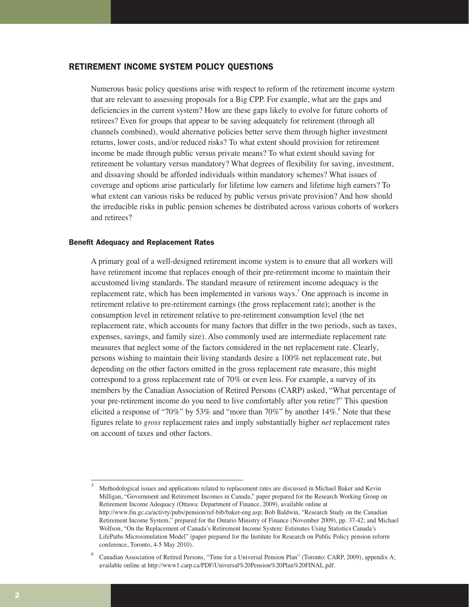#### RETIREMENT INCOME SYSTEM POLICY QUESTIONS

Numerous basic policy questions arise with respect to reform of the retirement income system that are relevant to assessing proposals for a Big CPP. For example, what are the gaps and deficiencies in the current system? How are these gaps likely to evolve for future cohorts of retirees? Even for groups that appear to be saving adequately for retirement (through all channels combined), would alternative policies better serve them through higher investment returns, lower costs, and/or reduced risks? To what extent should provision for retirement income be made through public versus private means? To what extent should saving for retirement be voluntary versus mandatory? What degrees of flexibility for saving, investment, and dissaving should be afforded individuals within mandatory schemes? What issues of coverage and options arise particularly for lifetime low earners and lifetime high earners? To what extent can various risks be reduced by public versus private provision? And how should the irreducible risks in public pension schemes be distributed across various cohorts of workers and retirees?

#### Benefit Adequacy and Replacement Rates

A primary goal of a well-designed retirement income system is to ensure that all workers will have retirement income that replaces enough of their pre-retirement income to maintain their accustomed living standards. The standard measure of retirement income adequacy is the replacement rate, which has been implemented in various ways.*<sup>5</sup>* One approach is income in retirement relative to pre-retirement earnings (the gross replacement rate); another is the consumption level in retirement relative to pre-retirement consumption level (the net replacement rate, which accounts for many factors that differ in the two periods, such as taxes, expenses, savings, and family size). Also commonly used are intermediate replacement rate measures that neglect some of the factors considered in the net replacement rate. Clearly, persons wishing to maintain their living standards desire a 100% net replacement rate, but depending on the other factors omitted in the gross replacement rate measure, this might correspond to a gross replacement rate of 70% or even less. For example, a survey of its members by the Canadian Association of Retired Persons (CARP) asked, "What percentage of your pre-retirement income do you need to live comfortably after you retire?" This question elicited a response of "70%" by 53% and "more than 70%" by another 14%.*<sup>6</sup>* Note that these figures relate to *gross* replacement rates and imply substantially higher *net* replacement rates on account of taxes and other factors.

*Methodological issues and applications related to replacement rates are discussed in Michael Baker and Kevin* Milligan, "Government and Retirement Incomes in Canada," paper prepared for the Research Working Group on Retirement Income Adequacy (Ottawa: Department of Finance, 2009), available online at http://www.fin.gc.ca/activty/pubs/pension/ref-bib/baker-eng.asp; Bob Baldwin, "Research Study on the Canadian Retirement Income System," prepared for the Ontario Ministry of Finance (November 2009), pp. 37-42; and Michael Wolfson, "On the Replacement of Canada's Retirement Income System: Estimates Using Statistics Canada's LifePaths Microsimulation Model" (paper prepared for the Institute for Research on Public Policy pension reform conference, Toronto, 4-5 May 2010).

*<sup>6</sup>* Canadian Association of Retired Persons, "Time for a Universal Pension Plan" (Toronto: CARP, 2009), appendix A; available online at http://www1.carp.ca/PDF/Universal%20Pension%20Plan%20FINAL.pdf.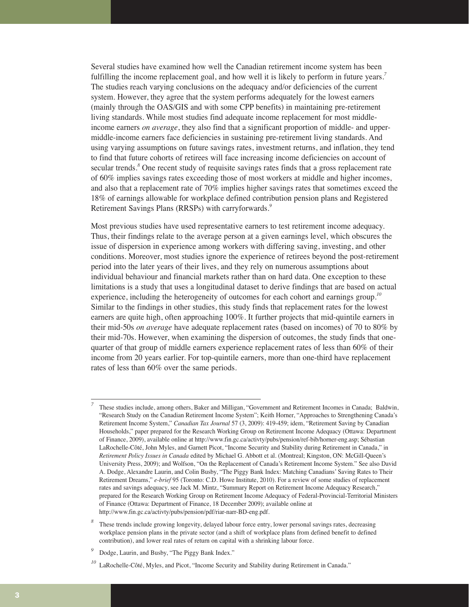Several studies have examined how well the Canadian retirement income system has been fulfilling the income replacement goal, and how well it is likely to perform in future years.*<sup>7</sup>* The studies reach varying conclusions on the adequacy and/or deficiencies of the current system. However, they agree that the system performs adequately for the lowest earners (mainly through the OAS/GIS and with some CPP benefits) in maintaining pre-retirement living standards. While most studies find adequate income replacement for most middleincome earners *on average*, they also find that a significant proportion of middle- and uppermiddle-income earners face deficiencies in sustaining pre-retirement living standards. And using varying assumptions on future savings rates, investment returns, and inflation, they tend to find that future cohorts of retirees will face increasing income deficiencies on account of secular trends.*<sup>8</sup>* One recent study of requisite savings rates finds that a gross replacement rate of 60% implies savings rates exceeding those of most workers at middle and higher incomes, and also that a replacement rate of 70% implies higher savings rates that sometimes exceed the 18% of earnings allowable for workplace defined contribution pension plans and Registered Retirement Savings Plans (RRSPs) with carryforwards.*<sup>9</sup>*

Most previous studies have used representative earners to test retirement income adequacy. Thus, their findings relate to the average person at a given earnings level, which obscures the issue of dispersion in experience among workers with differing saving, investing, and other conditions. Moreover, most studies ignore the experience of retirees beyond the post-retirement period into the later years of their lives, and they rely on numerous assumptions about individual behaviour and financial markets rather than on hard data. One exception to these limitations is a study that uses a longitudinal dataset to derive findings that are based on actual experience, including the heterogeneity of outcomes for each cohort and earnings group.*<sup>10</sup>* Similar to the findings in other studies, this study finds that replacement rates for the lowest earners are quite high, often approaching 100%. It further projects that mid-quintile earners in their mid-50s *on average* have adequate replacement rates (based on incomes) of 70 to 80% by their mid-70s. However, when examining the dispersion of outcomes, the study finds that onequarter of that group of middle earners experience replacement rates of less than 60% of their income from 20 years earlier. For top-quintile earners, more than one-third have replacement rates of less than 60% over the same periods.

*<sup>7</sup>* These studies include, among others, Baker and Milligan, "Government and Retirement Incomes in Canada; Baldwin, "Research Study on the Canadian Retirement Income System"; Keith Horner, "Approaches to Strengthening Canada's Retirement Income System," *Canadian Tax Journal* 57 (3, 2009): 419-459; idem, "Retirement Saving by Canadian Households," paper prepared for the Research Working Group on Retirement Income Adequacy (Ottawa: Department of Finance, 2009), available online at http://www.fin.gc.ca/activty/pubs/pension/ref-bib/horner-eng.asp; Sébastian LaRochelle-Côté, John Myles, and Garnett Picot, "Income Security and Stability during Retirement in Canada," in *Retirement Policy Issues in Canada* edited by Michael G. Abbott et al. (Montreal; Kingston, ON: McGill-Queen's University Press, 2009); and Wolfson, "On the Replacement of Canada's Retirement Income System." See also David A. Dodge, Alexandre Laurin, and Colin Busby, "The Piggy Bank Index: Matching Canadians' Saving Rates to Their Retirement Dreams," *e-brief* 95 (Toronto: C.D. Howe Institute, 2010). For a review of some studies of replacement rates and savings adequacy, see Jack M. Mintz, "Summary Report on Retirement Income Adequacy Research," prepared for the Research Working Group on Retirement Income Adequacy of Federal-Provincial-Territorial Ministers of Finance (Ottawa: Department of Finance, 18 December 2009); available online at http://www.fin.gc.ca/activty/pubs/pension/pdf/riar-narr-BD-eng.pdf.

*<sup>8</sup>* These trends include growing longevity, delayed labour force entry, lower personal savings rates, decreasing workplace pension plans in the private sector (and a shift of workplace plans from defined benefit to defined contribution), and lower real rates of return on capital with a shrinking labour force.

<sup>&</sup>lt;sup>9</sup> Dodge, Laurin, and Busby, "The Piggy Bank Index."

<sup>&</sup>lt;sup>10</sup> LaRochelle-Côté, Myles, and Picot, "Income Security and Stability during Retirement in Canada."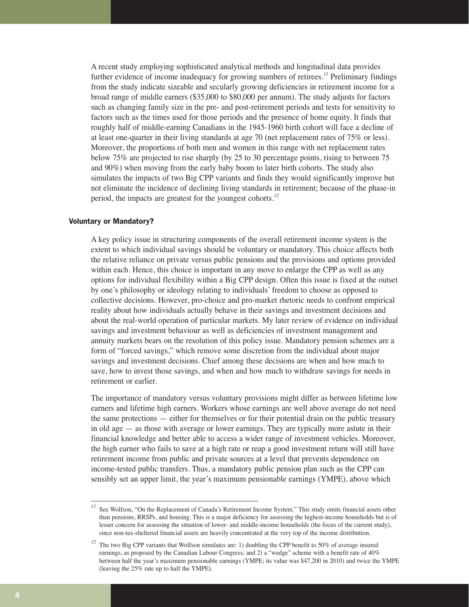A recent study employing sophisticated analytical methods and longitudinal data provides further evidence of income inadequacy for growing numbers of retirees.*<sup>11</sup>* Preliminary findings from the study indicate sizeable and secularly growing deficiencies in retirement income for a broad range of middle earners (\$35,000 to \$80,000 per annum). The study adjusts for factors such as changing family size in the pre- and post-retirement periods and tests for sensitivity to factors such as the times used for those periods and the presence of home equity. It finds that roughly half of middle-earning Canadians in the 1945-1960 birth cohort will face a decline of at least one-quarter in their living standards at age 70 (net replacement rates of 75% or less). Moreover, the proportions of both men and women in this range with net replacement rates below 75% are projected to rise sharply (by 25 to 30 percentage points, rising to between 75 and 90%) when moving from the early baby boom to later birth cohorts. The study also simulates the impacts of two Big CPP variants and finds they would significantly improve but not eliminate the incidence of declining living standards in retirement; because of the phase-in period, the impacts are greatest for the youngest cohorts.*<sup>12</sup>*

#### Voluntary or Mandatory?

A key policy issue in structuring components of the overall retirement income system is the extent to which individual savings should be voluntary or mandatory. This choice affects both the relative reliance on private versus public pensions and the provisions and options provided within each. Hence, this choice is important in any move to enlarge the CPP as well as any options for individual flexibility within a Big CPP design. Often this issue is fixed at the outset by one's philosophy or ideology relating to individuals' freedom to choose as opposed to collective decisions. However, pro-choice and pro-market rhetoric needs to confront empirical reality about how individuals actually behave in their savings and investment decisions and about the real-world operation of particular markets. My later review of evidence on individual savings and investment behaviour as well as deficiencies of investment management and annuity markets bears on the resolution of this policy issue. Mandatory pension schemes are a form of "forced savings," which remove some discretion from the individual about major savings and investment decisions. Chief among these decisions are when and how much to save, how to invest those savings, and when and how much to withdraw savings for needs in retirement or earlier.

The importance of mandatory versus voluntary provisions might differ as between lifetime low earners and lifetime high earners. Workers whose earnings are well above average do not need the same protections — either for themselves or for their potential drain on the public treasury in old age — as those with average or lower earnings. They are typically more astute in their financial knowledge and better able to access a wider range of investment vehicles. Moreover, the high earner who fails to save at a high rate or reap a good investment return will still have retirement income from public and private sources at a level that prevents dependence on income-tested public transfers. Thus, a mandatory public pension plan such as the CPP can sensibly set an upper limit, the year's maximum pensionable earnings (YMPE), above which

<sup>&</sup>lt;sup>11</sup> See Wolfson, "On the Replacement of Canada's Retirement Income System." This study omits financial assets other than pensions, RRSPs, and housing. This is a major deficiency for assessing the highest-income households but is of lesser concern for assessing the situation of lower- and middle-income households (the focus of the current study), since non-tax-sheltered financial assets are heavily concentrated at the very top of the income distribution.

<sup>&</sup>lt;sup>12</sup> The two Big CPP variants that Wolfson simulates are: 1) doubling the CPP benefit to 50% of average insured earnings, as proposed by the Canadian Labour Congress; and 2) a "wedge" scheme with a benefit rate of 40% between half the year's maximum pensionable earnings (YMPE; its value was \$47,200 in 2010) and twice the YMPE (leaving the 25% rate up to half the YMPE).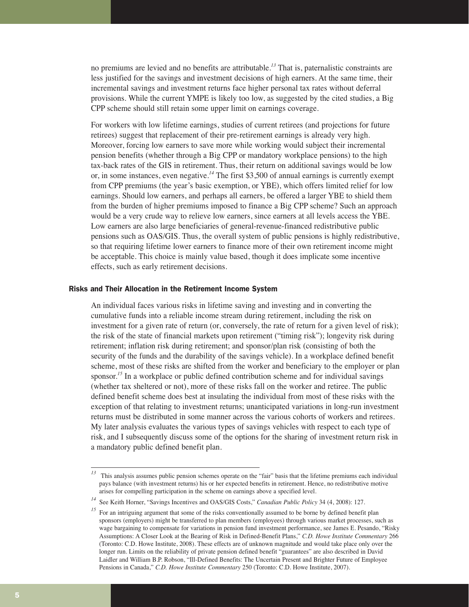no premiums are levied and no benefits are attributable.*<sup>13</sup>* That is, paternalistic constraints are less justified for the savings and investment decisions of high earners. At the same time, their incremental savings and investment returns face higher personal tax rates without deferral provisions. While the current YMPE is likely too low, as suggested by the cited studies, a Big CPP scheme should still retain some upper limit on earnings coverage.

For workers with low lifetime earnings, studies of current retirees (and projections for future retirees) suggest that replacement of their pre-retirement earnings is already very high. Moreover, forcing low earners to save more while working would subject their incremental pension benefits (whether through a Big CPP or mandatory workplace pensions) to the high tax-back rates of the GIS in retirement. Thus, their return on additional savings would be low or, in some instances, even negative.*<sup>14</sup>* The first \$3,500 of annual earnings is currently exempt from CPP premiums (the year's basic exemption, or YBE), which offers limited relief for low earnings. Should low earners, and perhaps all earners, be offered a larger YBE to shield them from the burden of higher premiums imposed to finance a Big CPP scheme? Such an approach would be a very crude way to relieve low earners, since earners at all levels access the YBE. Low earners are also large beneficiaries of general-revenue-financed redistributive public pensions such as OAS/GIS. Thus, the overall system of public pensions is highly redistributive, so that requiring lifetime lower earners to finance more of their own retirement income might be acceptable. This choice is mainly value based, though it does implicate some incentive effects, such as early retirement decisions.

#### Risks and Their Allocation in the Retirement Income System

An individual faces various risks in lifetime saving and investing and in converting the cumulative funds into a reliable income stream during retirement, including the risk on investment for a given rate of return (or, conversely, the rate of return for a given level of risk); the risk of the state of financial markets upon retirement ("timing risk"); longevity risk during retirement; inflation risk during retirement; and sponsor/plan risk (consisting of both the security of the funds and the durability of the savings vehicle). In a workplace defined benefit scheme, most of these risks are shifted from the worker and beneficiary to the employer or plan sponsor.<sup>15</sup> In a workplace or public defined contribution scheme and for individual savings (whether tax sheltered or not), more of these risks fall on the worker and retiree. The public defined benefit scheme does best at insulating the individual from most of these risks with the exception of that relating to investment returns; unanticipated variations in long-run investment returns must be distributed in some manner across the various cohorts of workers and retirees. My later analysis evaluates the various types of savings vehicles with respect to each type of risk, and I subsequently discuss some of the options for the sharing of investment return risk in a mandatory public defined benefit plan.

<sup>&</sup>lt;sup>13</sup> This analysis assumes public pension schemes operate on the "fair" basis that the lifetime premiums each individual pays balance (with investment returns) his or her expected benefits in retirement. Hence, no redistributive motive arises for compelling participation in the scheme on earnings above a specified level.

*<sup>14</sup>* See Keith Horner, "Savings Incentives and OAS/GIS Costs," *Canadian Public Policy* 34 (4, 2008): 127.

For an intriguing argument that some of the risks conventionally assumed to be borne by defined benefit plan sponsors (employers) might be transferred to plan members (employees) through various market processes, such as wage bargaining to compensate for variations in pension fund investment performance, see James E. Pesando, "Risky Assumptions: A Closer Look at the Bearing of Risk in Defined-Benefit Plans," *C.D. Howe Institute Commentary* 266 (Toronto: C.D. Howe Institute, 2008). These effects are of unknown magnitude and would take place only over the longer run. Limits on the reliability of private pension defined benefit "guarantees" are also described in David Laidler and William B.P. Robson, "Ill-Defined Benefits: The Uncertain Present and Brighter Future of Employee Pensions in Canada," *C.D. Howe Institute Commentary* 250 (Toronto: C.D. Howe Institute, 2007).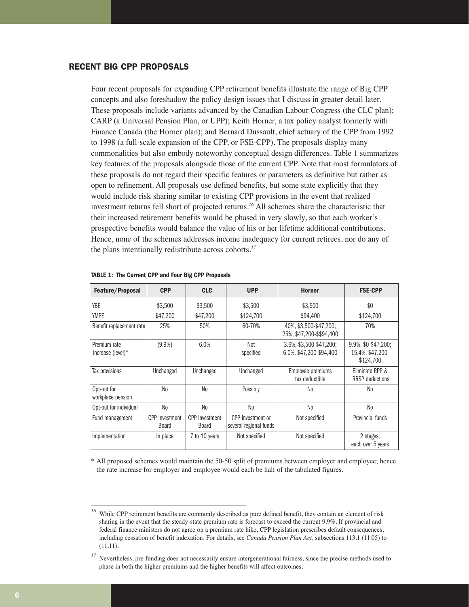#### RECENT BIG CPP PROPOSALS

Four recent proposals for expanding CPP retirement benefits illustrate the range of Big CPP concepts and also foreshadow the policy design issues that I discuss in greater detail later. These proposals include variants advanced by the Canadian Labour Congress (the CLC plan); CARP (a Universal Pension Plan, or UPP); Keith Horner, a tax policy analyst formerly with Finance Canada (the Horner plan); and Bernard Dussault, chief actuary of the CPP from 1992 to 1998 (a full-scale expansion of the CPP, or FSE-CPP). The proposals display many commonalities but also embody noteworthy conceptual design differences. Table 1 summarizes key features of the proposals alongside those of the current CPP. Note that most formulators of these proposals do not regard their specific features or parameters as definitive but rather as open to refinement. All proposals use defined benefits, but some state explicitly that they would include risk sharing similar to existing CPP provisions in the event that realized investment returns fell short of projected returns.*<sup>16</sup>* All schemes share the characteristic that their increased retirement benefits would be phased in very slowly, so that each worker's prospective benefits would balance the value of his or her lifetime additional contributions. Hence, none of the schemes addresses income inadequacy for current retirees, nor do any of the plans intentionally redistribute across cohorts.*<sup>17</sup>*

| Feature/Proposal                  | <b>CPP</b>                            | <b>CLC</b>                            | <b>UPP</b>                                  | <b>Horner</b>                                      | <b>FSE-CPP</b>                                         |
|-----------------------------------|---------------------------------------|---------------------------------------|---------------------------------------------|----------------------------------------------------|--------------------------------------------------------|
| YBE                               | \$3,500                               | \$3,500                               | \$3,500                                     | \$3,500                                            | \$0                                                    |
| <b>YMPE</b>                       | \$47,200                              | \$47,200                              | \$124,700                                   | \$94,400                                           | \$124,700                                              |
| Benefit replacement rate          | 25%                                   | 50%                                   | 60-70%                                      | 40%, \$3,500-\$47,200;<br>25%, \$47,200-\$\$94,400 | 70%                                                    |
| Premium rate<br>increase (level)* | $(9.9\%)$                             | 6.0%                                  | Not<br>specified                            | 3.6%, \$3,500-\$47,200;<br>6.0%, \$47,200-\$94,400 | 9.9%, \$0-\$47, 200;<br>15.4%, \$47, 200-<br>\$124,700 |
| Tax provisions                    | Unchanged                             | Unchanged                             | Unchanged                                   | Employee premiums<br>tax deductible                | Eliminate RPP &<br><b>RRSP</b> deductions              |
| Opt-out for<br>workplace pension  | No                                    | No                                    | Possibly                                    | No                                                 | No                                                     |
| Opt-out for individual            | No                                    | No                                    | No                                          | No                                                 | No                                                     |
| Fund management                   | <b>CPP Investment</b><br><b>Board</b> | <b>CPP</b> Investment<br><b>Board</b> | CPP Investment or<br>several regional funds | Not specified                                      | Provincial funds                                       |
| Implementation                    | In place                              | 7 to 10 years                         | Not specified                               | Not specified                                      | 2 stages,<br>each over 5 years                         |

| <b>TABLE 1: The Current CPP and Four Big CPP Proposals</b> |  |  |  |  |  |  |  |  |
|------------------------------------------------------------|--|--|--|--|--|--|--|--|
|------------------------------------------------------------|--|--|--|--|--|--|--|--|

\* All proposed schemes would maintain the 50-50 split of premiums between employer and employee; hence the rate increase for employer and employee would each be half of the tabulated figures.

<sup>&</sup>lt;sup>16</sup> While CPP retirement benefits are commonly described as pure defined benefit, they contain an element of risk sharing in the event that the steady-state premium rate is forecast to exceed the current 9.9%. If provincial and federal finance ministers do not agree on a premium rate hike, CPP legislation prescribes default consequences, including cessation of benefit indexation. For details, see *Canada Pension Plan Act*, subsections 113.1 (11.05) to (11.11).

<sup>&</sup>lt;sup>17</sup> Nevertheless, pre-funding does not necessarily ensure intergenerational fairness, since the precise methods used to phase in both the higher premiums and the higher benefits will affect outcomes.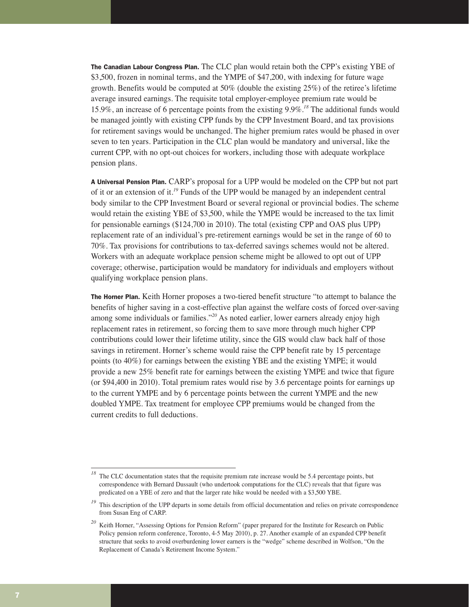The Canadian Labour Congress Plan. The CLC plan would retain both the CPP's existing YBE of \$3,500, frozen in nominal terms, and the YMPE of \$47,200, with indexing for future wage growth. Benefits would be computed at 50% (double the existing 25%) of the retiree's lifetime average insured earnings. The requisite total employer-employee premium rate would be 15.9%, an increase of 6 percentage points from the existing 9.9%.*<sup>18</sup>* The additional funds would be managed jointly with existing CPP funds by the CPP Investment Board, and tax provisions for retirement savings would be unchanged. The higher premium rates would be phased in over seven to ten years. Participation in the CLC plan would be mandatory and universal, like the current CPP, with no opt-out choices for workers, including those with adequate workplace pension plans.

A Universal Pension Plan. CARP's proposal for a UPP would be modeled on the CPP but not part of it or an extension of it.*<sup>19</sup>* Funds of the UPP would be managed by an independent central body similar to the CPP Investment Board or several regional or provincial bodies. The scheme would retain the existing YBE of \$3,500, while the YMPE would be increased to the tax limit for pensionable earnings (\$124,700 in 2010). The total (existing CPP and OAS plus UPP) replacement rate of an individual's pre-retirement earnings would be set in the range of 60 to 70%. Tax provisions for contributions to tax-deferred savings schemes would not be altered. Workers with an adequate workplace pension scheme might be allowed to opt out of UPP coverage; otherwise, participation would be mandatory for individuals and employers without qualifying workplace pension plans.

The Horner Plan. Keith Horner proposes a two-tiered benefit structure "to attempt to balance the benefits of higher saving in a cost-effective plan against the welfare costs of forced over-saving among some individuals or families."*<sup>20</sup>* As noted earlier, lower earners already enjoy high replacement rates in retirement, so forcing them to save more through much higher CPP contributions could lower their lifetime utility, since the GIS would claw back half of those savings in retirement. Horner's scheme would raise the CPP benefit rate by 15 percentage points (to 40%) for earnings between the existing YBE and the existing YMPE; it would provide a new 25% benefit rate for earnings between the existing YMPE and twice that figure (or \$94,400 in 2010). Total premium rates would rise by 3.6 percentage points for earnings up to the current YMPE and by 6 percentage points between the current YMPE and the new doubled YMPE. Tax treatment for employee CPP premiums would be changed from the current credits to full deductions.

The CLC documentation states that the requisite premium rate increase would be 5.4 percentage points, but correspondence with Bernard Dussault (who undertook computations for the CLC) reveals that that figure was predicated on a YBE of zero and that the larger rate hike would be needed with a \$3,500 YBE.

<sup>&</sup>lt;sup>19</sup> This description of the UPP departs in some details from official documentation and relies on private correspondence from Susan Eng of CARP.

<sup>&</sup>lt;sup>20</sup> Keith Horner, "Assessing Options for Pension Reform" (paper prepared for the Institute for Research on Public Policy pension reform conference, Toronto, 4-5 May 2010), p. 27. Another example of an expanded CPP benefit structure that seeks to avoid overburdening lower earners is the "wedge" scheme described in Wolfson, "On the Replacement of Canada's Retirement Income System."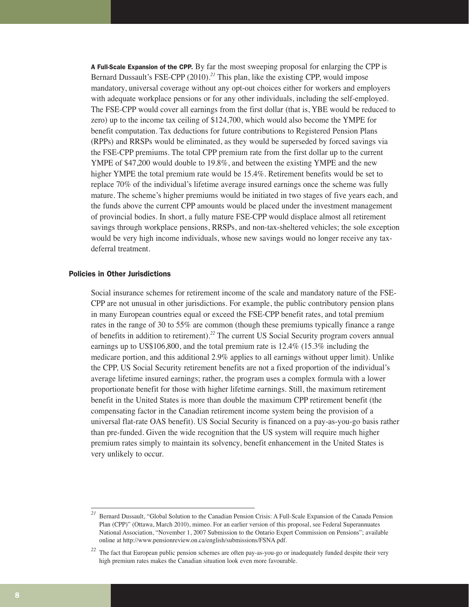A Full-Scale Expansion of the CPP. By far the most sweeping proposal for enlarging the CPP is Bernard Dussault's FSE-CPP (2010).*<sup>21</sup>* This plan, like the existing CPP, would impose mandatory, universal coverage without any opt-out choices either for workers and employers with adequate workplace pensions or for any other individuals, including the self-employed. The FSE-CPP would cover all earnings from the first dollar (that is, YBE would be reduced to zero) up to the income tax ceiling of \$124,700, which would also become the YMPE for benefit computation. Tax deductions for future contributions to Registered Pension Plans (RPPs) and RRSPs would be eliminated, as they would be superseded by forced savings via the FSE-CPP premiums. The total CPP premium rate from the first dollar up to the current YMPE of \$47,200 would double to 19.8%, and between the existing YMPE and the new higher YMPE the total premium rate would be 15.4%. Retirement benefits would be set to replace 70% of the individual's lifetime average insured earnings once the scheme was fully mature. The scheme's higher premiums would be initiated in two stages of five years each, and the funds above the current CPP amounts would be placed under the investment management of provincial bodies. In short, a fully mature FSE-CPP would displace almost all retirement savings through workplace pensions, RRSPs, and non-tax-sheltered vehicles; the sole exception would be very high income individuals, whose new savings would no longer receive any taxdeferral treatment.

#### Policies in Other Jurisdictions

Social insurance schemes for retirement income of the scale and mandatory nature of the FSE-CPP are not unusual in other jurisdictions. For example, the public contributory pension plans in many European countries equal or exceed the FSE-CPP benefit rates, and total premium rates in the range of 30 to 55% are common (though these premiums typically finance a range of benefits in addition to retirement).*<sup>22</sup>* The current US Social Security program covers annual earnings up to US\$106,800, and the total premium rate is 12.4% (15.3% including the medicare portion, and this additional 2.9% applies to all earnings without upper limit). Unlike the CPP, US Social Security retirement benefits are not a fixed proportion of the individual's average lifetime insured earnings; rather, the program uses a complex formula with a lower proportionate benefit for those with higher lifetime earnings. Still, the maximum retirement benefit in the United States is more than double the maximum CPP retirement benefit (the compensating factor in the Canadian retirement income system being the provision of a universal flat-rate OAS benefit). US Social Security is financed on a pay-as-you-go basis rather than pre-funded. Given the wide recognition that the US system will require much higher premium rates simply to maintain its solvency, benefit enhancement in the United States is very unlikely to occur.

*<sup>21</sup>* Bernard Dussault, "Global Solution to the Canadian Pension Crisis: A Full-Scale Expansion of the Canada Pension Plan (CPP)" (Ottawa, March 2010), mimeo. For an earlier version of this proposal, see Federal Superannuates National Association, "November 1, 2007 Submission to the Ontario Expert Commission on Pensions"; available online at http://www.pensionreview.on.ca/english/submissions/FSNA.pdf.

*<sup>22</sup>* The fact that European public pension schemes are often pay-as-you-go or inadequately funded despite their very high premium rates makes the Canadian situation look even more favourable.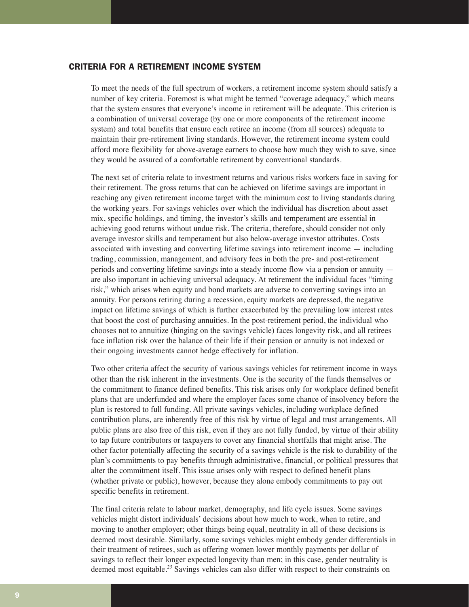#### CRITERIA FOR A RETIREMENT INCOME SYSTEM

To meet the needs of the full spectrum of workers, a retirement income system should satisfy a number of key criteria. Foremost is what might be termed "coverage adequacy," which means that the system ensures that everyone's income in retirement will be adequate. This criterion is a combination of universal coverage (by one or more components of the retirement income system) and total benefits that ensure each retiree an income (from all sources) adequate to maintain their pre-retirement living standards. However, the retirement income system could afford more flexibility for above-average earners to choose how much they wish to save, since they would be assured of a comfortable retirement by conventional standards.

The next set of criteria relate to investment returns and various risks workers face in saving for their retirement. The gross returns that can be achieved on lifetime savings are important in reaching any given retirement income target with the minimum cost to living standards during the working years. For savings vehicles over which the individual has discretion about asset mix, specific holdings, and timing, the investor's skills and temperament are essential in achieving good returns without undue risk. The criteria, therefore, should consider not only average investor skills and temperament but also below-average investor attributes. Costs associated with investing and converting lifetime savings into retirement income — including trading, commission, management, and advisory fees in both the pre- and post-retirement periods and converting lifetime savings into a steady income flow via a pension or annuity are also important in achieving universal adequacy. At retirement the individual faces "timing risk," which arises when equity and bond markets are adverse to converting savings into an annuity. For persons retiring during a recession, equity markets are depressed, the negative impact on lifetime savings of which is further exacerbated by the prevailing low interest rates that boost the cost of purchasing annuities. In the post-retirement period, the individual who chooses not to annuitize (hinging on the savings vehicle) faces longevity risk, and all retirees face inflation risk over the balance of their life if their pension or annuity is not indexed or their ongoing investments cannot hedge effectively for inflation.

Two other criteria affect the security of various savings vehicles for retirement income in ways other than the risk inherent in the investments. One is the security of the funds themselves or the commitment to finance defined benefits. This risk arises only for workplace defined benefit plans that are underfunded and where the employer faces some chance of insolvency before the plan is restored to full funding. All private savings vehicles, including workplace defined contribution plans, are inherently free of this risk by virtue of legal and trust arrangements. All public plans are also free of this risk, even if they are not fully funded, by virtue of their ability to tap future contributors or taxpayers to cover any financial shortfalls that might arise. The other factor potentially affecting the security of a savings vehicle is the risk to durability of the plan's commitments to pay benefits through administrative, financial, or political pressures that alter the commitment itself. This issue arises only with respect to defined benefit plans (whether private or public), however, because they alone embody commitments to pay out specific benefits in retirement.

The final criteria relate to labour market, demography, and life cycle issues. Some savings vehicles might distort individuals' decisions about how much to work, when to retire, and moving to another employer; other things being equal, neutrality in all of these decisions is deemed most desirable. Similarly, some savings vehicles might embody gender differentials in their treatment of retirees, such as offering women lower monthly payments per dollar of savings to reflect their longer expected longevity than men; in this case, gender neutrality is deemed most equitable.*<sup>23</sup>* Savings vehicles can also differ with respect to their constraints on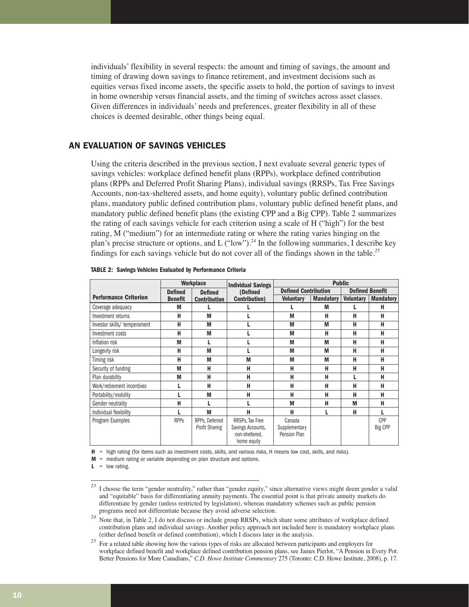individuals' flexibility in several respects: the amount and timing of savings, the amount and timing of drawing down savings to finance retirement, and investment decisions such as equities versus fixed income assets, the specific assets to hold, the portion of savings to invest in home ownership versus financial assets, and the timing of switches across asset classes. Given differences in individuals' needs and preferences, greater flexibility in all of these choices is deemed desirable, other things being equal.

#### AN EVALUATION OF SAVINGS VEHICLES

Using the criteria described in the previous section, I next evaluate several generic types of savings vehicles: workplace defined benefit plans (RPPs), workplace defined contribution plans (RPPs and Deferred Profit Sharing Plans), individual savings (RRSPs, Tax Free Savings Accounts, non-tax-sheltered assets, and home equity), voluntary public defined contribution plans, mandatory public defined contribution plans, voluntary public defined benefit plans, and mandatory public defined benefit plans (the existing CPP and a Big CPP). Table 2 summarizes the rating of each savings vehicle for each criterion using a scale of H ("high") for the best rating, M ("medium") for an intermediate rating or where the rating varies hinging on the plan's precise structure or options, and L ("low").*<sup>24</sup>* In the following summaries, I describe key findings for each savings vehicle but do not cover all of the findings shown in the table.*<sup>25</sup>*

|                              | <b>Workplace</b> |                       | <b>Individual Savings</b> | <b>Public</b>               |                  |                        |                  |  |
|------------------------------|------------------|-----------------------|---------------------------|-----------------------------|------------------|------------------------|------------------|--|
|                              | <b>Defined</b>   | <b>Defined</b>        | (Defined                  | <b>Defined Contribution</b> |                  | <b>Defined Benefit</b> |                  |  |
| <b>Performance Criterion</b> | <b>Benefit</b>   | <b>Contribution</b>   | <b>Contribution</b> )     | <b>Voluntary</b>            | <b>Mandatory</b> | <b>Voluntary</b>       | <b>Mandatory</b> |  |
| Coverage adequacy            | M                |                       |                           |                             | M                |                        | н                |  |
| Investment returns           | н                | M                     |                           | M                           | н                | н                      | н                |  |
| Investor skills/ temperament | н                | M                     |                           | M                           | M                | н                      | н                |  |
| Investment costs             | н                | M                     |                           | M                           | н                | н                      | н                |  |
| Inflation risk               | M                |                       |                           | M                           | M                | н                      | н                |  |
| Longevity risk               | н                | M                     | L                         | M                           | M                | н                      | н                |  |
| Timing risk                  | Н                | M                     | M                         | M                           | M                | н                      | н                |  |
| Security of funding          | M                | н                     | Н                         | н                           | н                | н                      | н                |  |
| Plan durability              | M                | н                     | н                         | н                           | н                |                        | н                |  |
| Work/retirement incentives   |                  | н                     | н                         | н                           | н                | н                      | н                |  |
| Portability/mobility         |                  | M                     | н                         | н                           | н                | н                      | н                |  |
| Gender neutrality            | н                |                       |                           | M                           | н                | M                      | н                |  |
| Individual flexibility       |                  | M                     | н                         | н                           |                  | н                      |                  |  |
| Program Examples             | <b>RPPs</b>      | RPPs, Deferred        | RRSPs, Tax Free           | Canada                      |                  |                        | CPP              |  |
|                              |                  | <b>Profit Sharing</b> | Savings Accounts,         | Supplementary               |                  |                        | Big CPP          |  |
|                              |                  |                       | non-sheltered.            | Pension Plan                |                  |                        |                  |  |
|                              |                  |                       | home equity               |                             |                  |                        |                  |  |

**TABLE 2: Savings Vehicles Evaluated by Performance Criteria**

**H** = high rating (for items such as investment costs, skills, and various risks, H means low cost, skills, and risks).

**M** = medium rating or variable depending on plan structure and options.

 $L =$  low rating.

<sup>&</sup>lt;sup>23</sup> I choose the term "gender neutrality," rather than "gender equity," since alternative views might deem gender a valid and "equitable" basis for differentiating annuity payments. The essential point is that private annuity markets do differentiate by gender (unless restricted by legislation), whereas mandatory schemes such as public pension programs need not differentiate because they avoid adverse selection.

<sup>&</sup>lt;sup>24</sup> Note that, in Table 2, I do not discuss or include group RRSPs, which share some attributes of workplace defined contribution plans and individual savings. Another policy approach not included here is mandatory workplace plans (either defined benefit or defined contribution), which I discuss later in the analysis.

<sup>&</sup>lt;sup>25</sup> For a related table showing how the various types of risks are allocated between participants and employers for workplace defined benefit and workplace defined contribution pension plans, see James Pierlot, "A Pension in Every Pot: Better Pensions for More Canadians," *C.D. Howe Institute Commentary* 275 (Toronto: C.D. Howe Institute, 2008), p. 17.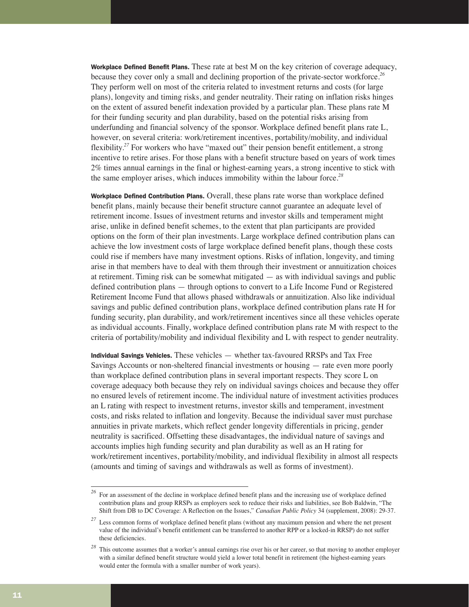Workplace Defined Benefit Plans. These rate at best M on the key criterion of coverage adequacy, because they cover only a small and declining proportion of the private-sector workforce.*<sup>26</sup>* They perform well on most of the criteria related to investment returns and costs (for large plans), longevity and timing risks, and gender neutrality. Their rating on inflation risks hinges on the extent of assured benefit indexation provided by a particular plan. These plans rate M for their funding security and plan durability, based on the potential risks arising from underfunding and financial solvency of the sponsor. Workplace defined benefit plans rate L, however, on several criteria: work/retirement incentives, portability/mobility, and individual flexibility.*<sup>27</sup>* For workers who have "maxed out" their pension benefit entitlement, a strong incentive to retire arises. For those plans with a benefit structure based on years of work times 2% times annual earnings in the final or highest-earning years, a strong incentive to stick with the same employer arises, which induces immobility within the labour force.*<sup>28</sup>*

Workplace Defined Contribution Plans. Overall, these plans rate worse than workplace defined benefit plans, mainly because their benefit structure cannot guarantee an adequate level of retirement income. Issues of investment returns and investor skills and temperament might arise, unlike in defined benefit schemes, to the extent that plan participants are provided options on the form of their plan investments. Large workplace defined contribution plans can achieve the low investment costs of large workplace defined benefit plans, though these costs could rise if members have many investment options. Risks of inflation, longevity, and timing arise in that members have to deal with them through their investment or annuitization choices at retirement. Timing risk can be somewhat mitigated  $-$  as with individual savings and public defined contribution plans — through options to convert to a Life Income Fund or Registered Retirement Income Fund that allows phased withdrawals or annuitization. Also like individual savings and public defined contribution plans, workplace defined contribution plans rate H for funding security, plan durability, and work/retirement incentives since all these vehicles operate as individual accounts. Finally, workplace defined contribution plans rate M with respect to the criteria of portability/mobility and individual flexibility and L with respect to gender neutrality.

Individual Savings Vehicles. These vehicles — whether tax-favoured RRSPs and Tax Free Savings Accounts or non-sheltered financial investments or housing — rate even more poorly than workplace defined contribution plans in several important respects. They score L on coverage adequacy both because they rely on individual savings choices and because they offer no ensured levels of retirement income. The individual nature of investment activities produces an L rating with respect to investment returns, investor skills and temperament, investment costs, and risks related to inflation and longevity. Because the individual saver must purchase annuities in private markets, which reflect gender longevity differentials in pricing, gender neutrality is sacrificed. Offsetting these disadvantages, the individual nature of savings and accounts implies high funding security and plan durability as well as an H rating for work/retirement incentives, portability/mobility, and individual flexibility in almost all respects (amounts and timing of savings and withdrawals as well as forms of investment).

*<sup>26</sup>* For an assessment of the decline in workplace defined benefit plans and the increasing use of workplace defined contribution plans and group RRSPs as employers seek to reduce their risks and liabilities, see Bob Baldwin, "The Shift from DB to DC Coverage: A Reflection on the Issues," *Canadian Public Policy* 34 (supplement, 2008): 29-37.

*<sup>27</sup>* Less common forms of workplace defined benefit plans (without any maximum pension and where the net present value of the individual's benefit entitlement can be transferred to another RPP or a locked-in RRSP) do not suffer these deficiencies.

*<sup>28</sup>* This outcome assumes that a worker's annual earnings rise over his or her career, so that moving to another employer with a similar defined benefit structure would yield a lower total benefit in retirement (the highest-earning years would enter the formula with a smaller number of work years).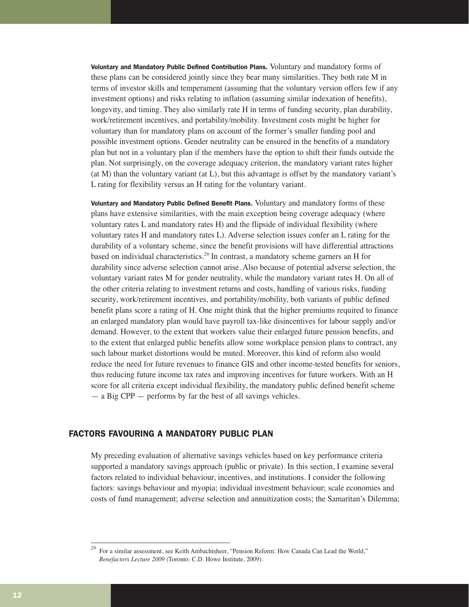Voluntary and Mandatory Public Defined Contribution Plans. Voluntary and mandatory forms of these plans can be considered jointly since they bear many similarities. They both rate M in terms of investor skills and temperament (assuming that the voluntary version offers few if any investment options) and risks relating to inflation (assuming similar indexation of benefits), longevity, and timing. They also similarly rate H in terms of funding security, plan durability, work/retirement incentives, and portability/mobility. Investment costs might be higher for voluntary than for mandatory plans on account of the former's smaller funding pool and possible investment options. Gender neutrality can be ensured in the benefits of a mandatory plan but not in a voluntary plan if the members have the option to shift their funds outside the plan. Not surprisingly, on the coverage adequacy criterion, the mandatory variant rates higher (at M) than the voluntary variant (at L), but this advantage is offset by the mandatory variant's L rating for flexibility versus an H rating for the voluntary variant.

Voluntary and Mandatory Public Defined Benefit Plans. Voluntary and mandatory forms of these plans have extensive similarities, with the main exception being coverage adequacy (where voluntary rates L and mandatory rates H) and the flipside of individual flexibility (where voluntary rates H and mandatory rates L). Adverse selection issues confer an L rating for the durability of a voluntary scheme, since the benefit provisions will have differential attractions based on individual characteristics.*<sup>29</sup>* In contrast, a mandatory scheme garners an H for durability since adverse selection cannot arise. Also because of potential adverse selection, the voluntary variant rates M for gender neutrality, while the mandatory variant rates H. On all of the other criteria relating to investment returns and costs, handling of various risks, funding security, work/retirement incentives, and portability/mobility, both variants of public defined benefit plans score a rating of H. One might think that the higher premiums required to finance an enlarged mandatory plan would have payroll tax-like disincentives for labour supply and/or demand. However, to the extent that workers value their enlarged future pension benefits, and to the extent that enlarged public benefits allow some workplace pension plans to contract, any such labour market distortions would be muted. Moreover, this kind of reform also would reduce the need for future revenues to finance GIS and other income-tested benefits for seniors, thus reducing future income tax rates and improving incentives for future workers. With an H score for all criteria except individual flexibility, the mandatory public defined benefit scheme — a Big CPP — performs by far the best of all savings vehicles.

#### FACTORS FAVOURING A MANDATORY PUBLIC PLAN

My preceding evaluation of alternative savings vehicles based on key performance criteria supported a mandatory savings approach (public or private). In this section, I examine several factors related to individual behaviour, incentives, and institutions. I consider the following factors: savings behaviour and myopia; individual investment behaviour; scale economies and costs of fund management; adverse selection and annuitization costs; the Samaritan's Dilemma;

*<sup>29</sup>* For a similar assessment, see Keith Ambachtsheer, "Pension Reform: How Canada Can Lead the World," *Benefactors Lecture 2009* (Toronto: C.D. Howe Institute, 2009).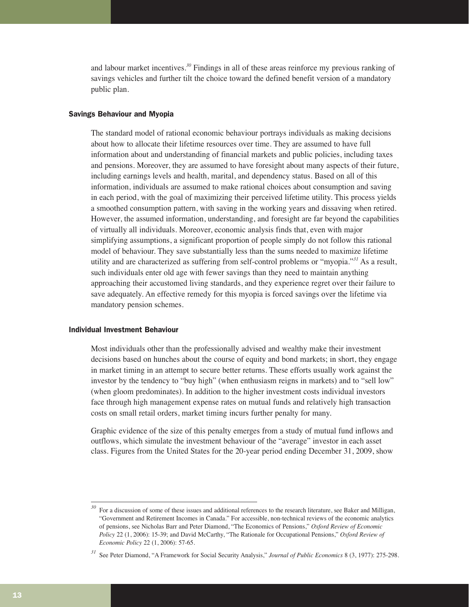and labour market incentives.*<sup>30</sup>* Findings in all of these areas reinforce my previous ranking of savings vehicles and further tilt the choice toward the defined benefit version of a mandatory public plan.

#### Savings Behaviour and Myopia

The standard model of rational economic behaviour portrays individuals as making decisions about how to allocate their lifetime resources over time. They are assumed to have full information about and understanding of financial markets and public policies, including taxes and pensions. Moreover, they are assumed to have foresight about many aspects of their future, including earnings levels and health, marital, and dependency status. Based on all of this information, individuals are assumed to make rational choices about consumption and saving in each period, with the goal of maximizing their perceived lifetime utility. This process yields a smoothed consumption pattern, with saving in the working years and dissaving when retired. However, the assumed information, understanding, and foresight are far beyond the capabilities of virtually all individuals. Moreover, economic analysis finds that, even with major simplifying assumptions, a significant proportion of people simply do not follow this rational model of behaviour. They save substantially less than the sums needed to maximize lifetime utility and are characterized as suffering from self-control problems or "myopia."*<sup>31</sup>* As a result, such individuals enter old age with fewer savings than they need to maintain anything approaching their accustomed living standards, and they experience regret over their failure to save adequately. An effective remedy for this myopia is forced savings over the lifetime via mandatory pension schemes.

#### Individual Investment Behaviour

Most individuals other than the professionally advised and wealthy make their investment decisions based on hunches about the course of equity and bond markets; in short, they engage in market timing in an attempt to secure better returns. These efforts usually work against the investor by the tendency to "buy high" (when enthusiasm reigns in markets) and to "sell low" (when gloom predominates). In addition to the higher investment costs individual investors face through high management expense rates on mutual funds and relatively high transaction costs on small retail orders, market timing incurs further penalty for many.

Graphic evidence of the size of this penalty emerges from a study of mutual fund inflows and outflows, which simulate the investment behaviour of the "average" investor in each asset class. Figures from the United States for the 20-year period ending December 31, 2009, show

For a discussion of some of these issues and additional references to the research literature, see Baker and Milligan, "Government and Retirement Incomes in Canada." For accessible, non-technical reviews of the economic analytics of pensions, see Nicholas Barr and Peter Diamond, "The Economics of Pensions," *Oxford Review of Economic Policy* 22 (1, 2006): 15-39; and David McCarthy, "The Rationale for Occupational Pensions," *Oxford Review of Economic Policy* 22 (1, 2006): 57-65.

*<sup>31</sup>* See Peter Diamond, "A Framework for Social Security Analysis," *Journal of Public Economics* 8 (3, 1977): 275-298.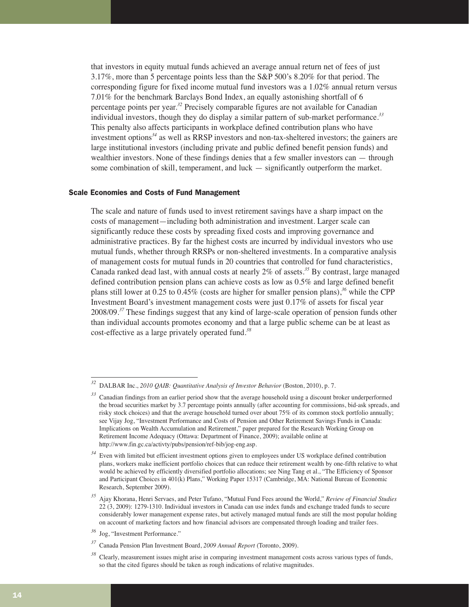that investors in equity mutual funds achieved an average annual return net of fees of just 3.17%, more than 5 percentage points less than the S&P 500's 8.20% for that period. The corresponding figure for fixed income mutual fund investors was a 1.02% annual return versus 7.01% for the benchmark Barclays Bond Index, an equally astonishing shortfall of 6 percentage points per year.*<sup>32</sup>* Precisely comparable figures are not available for Canadian individual investors, though they do display a similar pattern of sub-market performance.*<sup>33</sup>* This penalty also affects participants in workplace defined contribution plans who have investment options*<sup>34</sup>* as well as RRSP investors and non-tax-sheltered investors; the gainers are large institutional investors (including private and public defined benefit pension funds) and wealthier investors. None of these findings denies that a few smaller investors can — through some combination of skill, temperament, and luck — significantly outperform the market.

#### Scale Economies and Costs of Fund Management

The scale and nature of funds used to invest retirement savings have a sharp impact on the costs of management—including both administration and investment. Larger scale can significantly reduce these costs by spreading fixed costs and improving governance and administrative practices. By far the highest costs are incurred by individual investors who use mutual funds, whether through RRSPs or non-sheltered investments. In a comparative analysis of management costs for mutual funds in 20 countries that controlled for fund characteristics, Canada ranked dead last, with annual costs at nearly 2% of assets.*<sup>35</sup>* By contrast, large managed defined contribution pension plans can achieve costs as low as 0.5% and large defined benefit plans still lower at 0.25 to 0.45% (costs are higher for smaller pension plans),*<sup>36</sup>* while the CPP Investment Board's investment management costs were just 0.17% of assets for fiscal year 2008/09.*<sup>37</sup>* These findings suggest that any kind of large-scale operation of pension funds other than individual accounts promotes economy and that a large public scheme can be at least as cost-effective as a large privately operated fund.*<sup>38</sup>*

*<sup>32</sup>* DALBAR Inc., *2010 QAIB: Quantitative Analysis of Investor Behavior* (Boston, 2010), p. 7.

*<sup>33</sup>* Canadian findings from an earlier period show that the average household using a discount broker underperformed the broad securities market by 3.7 percentage points annually (after accounting for commissions, bid-ask spreads, and risky stock choices) and that the average household turned over about 75% of its common stock portfolio annually; see Vijay Jog, "Investment Performance and Costs of Pension and Other Retirement Savings Funds in Canada: Implications on Wealth Accumulation and Retirement," paper prepared for the Research Working Group on Retirement Income Adequacy (Ottawa: Department of Finance, 2009); available online at http://www.fin.gc.ca/activty/pubs/pension/ref-bib/jog-eng.asp.

*<sup>34</sup>* Even with limited but efficient investment options given to employees under US workplace defined contribution plans, workers make inefficient portfolio choices that can reduce their retirement wealth by one-fifth relative to what would be achieved by efficiently diversified portfolio allocations; see Ning Tang et al., "The Efficiency of Sponsor and Participant Choices in 401(k) Plans," Working Paper 15317 (Cambridge, MA: National Bureau of Economic Research, September 2009).

*<sup>35</sup>* Ajay Khorana, Henri Servaes, and Peter Tufano, "Mutual Fund Fees around the World," *Review of Financial Studies* 22 (3, 2009): 1279-1310. Individual investors in Canada can use index funds and exchange traded funds to secure considerably lower management expense rates, but actively managed mutual funds are still the most popular holding on account of marketing factors and how financial advisors are compensated through loading and trailer fees.

*<sup>36</sup>* Jog, "Investment Performance."

*<sup>37</sup>* Canada Pension Plan Investment Board, *2009 Annual Report* (Toronto, 2009).

*<sup>38</sup>* Clearly, measurement issues might arise in comparing investment management costs across various types of funds, so that the cited figures should be taken as rough indications of relative magnitudes.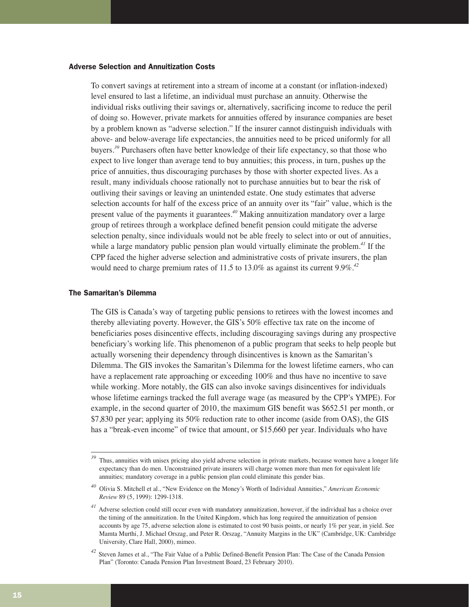#### Adverse Selection and Annuitization Costs

To convert savings at retirement into a stream of income at a constant (or inflation-indexed) level ensured to last a lifetime, an individual must purchase an annuity. Otherwise the individual risks outliving their savings or, alternatively, sacrificing income to reduce the peril of doing so. However, private markets for annuities offered by insurance companies are beset by a problem known as "adverse selection." If the insurer cannot distinguish individuals with above- and below-average life expectancies, the annuities need to be priced uniformly for all buyers.*<sup>39</sup>* Purchasers often have better knowledge of their life expectancy, so that those who expect to live longer than average tend to buy annuities; this process, in turn, pushes up the price of annuities, thus discouraging purchases by those with shorter expected lives. As a result, many individuals choose rationally not to purchase annuities but to bear the risk of outliving their savings or leaving an unintended estate. One study estimates that adverse selection accounts for half of the excess price of an annuity over its "fair" value, which is the present value of the payments it guarantees.*<sup>40</sup>* Making annuitization mandatory over a large group of retirees through a workplace defined benefit pension could mitigate the adverse selection penalty, since individuals would not be able freely to select into or out of annuities, while a large mandatory public pension plan would virtually eliminate the problem.*<sup>41</sup>* If the CPP faced the higher adverse selection and administrative costs of private insurers, the plan would need to charge premium rates of 11.5 to 13.0% as against its current 9.9%.*<sup>42</sup>*

#### The Samaritan's Dilemma

The GIS is Canada's way of targeting public pensions to retirees with the lowest incomes and thereby alleviating poverty. However, the GIS's 50% effective tax rate on the income of beneficiaries poses disincentive effects, including discouraging savings during any prospective beneficiary's working life. This phenomenon of a public program that seeks to help people but actually worsening their dependency through disincentives is known as the Samaritan's Dilemma. The GIS invokes the Samaritan's Dilemma for the lowest lifetime earners, who can have a replacement rate approaching or exceeding 100% and thus have no incentive to save while working. More notably, the GIS can also invoke savings disincentives for individuals whose lifetime earnings tracked the full average wage (as measured by the CPP's YMPE). For example, in the second quarter of 2010, the maximum GIS benefit was \$652.51 per month, or \$7,830 per year; applying its 50% reduction rate to other income (aside from OAS), the GIS has a "break-even income" of twice that amount, or \$15,660 per year. Individuals who have

<sup>&</sup>lt;sup>39</sup> Thus, annuities with unisex pricing also yield adverse selection in private markets, because women have a longer life expectancy than do men. Unconstrained private insurers will charge women more than men for equivalent life annuities; mandatory coverage in a public pension plan could eliminate this gender bias.

*<sup>40</sup>* Olivia S. Mitchell et al., "New Evidence on the Money's Worth of Individual Annuities," *American Economic Review* 89 (5, 1999): 1299-1318.

*<sup>41</sup>* Adverse selection could still occur even with mandatory annuitization, however, if the individual has a choice over the timing of the annuitization. In the United Kingdom, which has long required the annuitization of pension accounts by age 75, adverse selection alone is estimated to cost 90 basis points, or nearly 1% per year, in yield. See Mamta Murthi, J. Michael Orszag, and Peter R. Orszag, "Annuity Margins in the UK" (Cambridge, UK: Cambridge University, Clare Hall, 2000), mimeo.

*<sup>42</sup>* Steven James et al., "The Fair Value of a Public Defined-Benefit Pension Plan: The Case of the Canada Pension Plan" (Toronto: Canada Pension Plan Investment Board, 23 February 2010).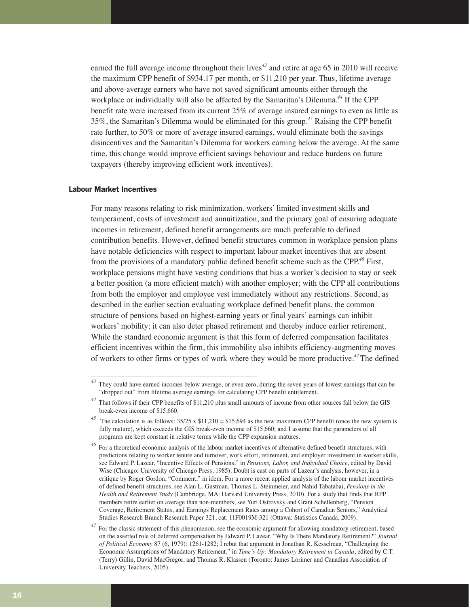earned the full average income throughout their lives*<sup>43</sup>* and retire at age 65 in 2010 will receive the maximum CPP benefit of \$934.17 per month, or \$11,210 per year. Thus, lifetime average and above-average earners who have not saved significant amounts either through the workplace or individually will also be affected by the Samaritan's Dilemma.*<sup>44</sup>* If the CPP benefit rate were increased from its current 25% of average insured earnings to even as little as 35%, the Samaritan's Dilemma would be eliminated for this group.*<sup>45</sup>* Raising the CPP benefit rate further, to 50% or more of average insured earnings, would eliminate both the savings disincentives and the Samaritan's Dilemma for workers earning below the average. At the same time, this change would improve efficient savings behaviour and reduce burdens on future taxpayers (thereby improving efficient work incentives).

#### Labour Market Incentives

For many reasons relating to risk minimization, workers' limited investment skills and temperament, costs of investment and annuitization, and the primary goal of ensuring adequate incomes in retirement, defined benefit arrangements are much preferable to defined contribution benefits. However, defined benefit structures common in workplace pension plans have notable deficiencies with respect to important labour market incentives that are absent from the provisions of a mandatory public defined benefit scheme such as the CPP.*<sup>46</sup>* First, workplace pensions might have vesting conditions that bias a worker's decision to stay or seek a better position (a more efficient match) with another employer; with the CPP all contributions from both the employer and employee vest immediately without any restrictions. Second, as described in the earlier section evaluating workplace defined benefit plans, the common structure of pensions based on highest-earning years or final years' earnings can inhibit workers' mobility; it can also deter phased retirement and thereby induce earlier retirement. While the standard economic argument is that this form of deferred compensation facilitates efficient incentives within the firm, this immobility also inhibits efficiency-augmenting moves of workers to other firms or types of work where they would be more productive.*<sup>47</sup>*The defined

They could have earned incomes below average, or even zero, during the seven years of lowest earnings that can be "dropped out" from lifetime average earnings for calculating CPP benefit entitlement.

*<sup>44</sup>* That follows if their CPP benefits of \$11,210 plus small amounts of income from other sources fall below the GIS break-even income of \$15,660.

<sup>&</sup>lt;sup>45</sup> The calculation is as follows:  $35/25 \times $11,210 = $15,694$  as the new maximum CPP benefit (once the new system is fully mature), which exceeds the GIS break-even income of \$15,660; and I assume that the parameters of all programs are kept constant in relative terms while the CPP expansion matures.

*<sup>46</sup>* For a theoretical economic analysis of the labour market incentives of alternative defined benefit structures, with predictions relating to worker tenure and turnover, work effort, retirement, and employer investment in worker skills, see Edward P. Lazear, "Incentive Effects of Pensions," in *Pensions, Labor, and Individual Choice*, edited by David Wise (Chicago: University of Chicago Press, 1985). Doubt is cast on parts of Lazear's analysis, however, in a critique by Roger Gordon, "Comment," in idem. For a more recent applied analysis of the labour market incentives of defined benefit structures, see Alan L. Gustman, Thomas L. Steinmeier, and Nahid Tabatabai, *Pensions in the Health and Retirement Study* (Cambridge, MA: Harvard University Press, 2010). For a study that finds that RPP members retire earlier on average than non-members, see Yuri Ostrovsky and Grant Schellenberg, "Pension Coverage, Retirement Status, and Earnings Replacement Rates among a Cohort of Canadian Seniors," Analytical Studies Research Branch Research Paper 321, cat. 11F0019M-321 (Ottawa: Statistics Canada, 2009).

For the classic statement of this phenomenon, see the economic argument for allowing mandatory retirement, based on the asserted role of deferred compensation by Edward P. Lazear, "Why Is There Mandatory Retirement?" *Journal of Political Economy* 87 (6, 1979): 1261-1282; I rebut that argument in Jonathan R. Kesselman, "Challenging the Economic Assumptions of Mandatory Retirement," in *Time's Up: Mandatory Retirement in Canada*, edited by C.T. (Terry) Gillin, David MacGregor, and Thomas R. Klassen (Toronto: James Lorimer and Canadian Association of University Teachers, 2005).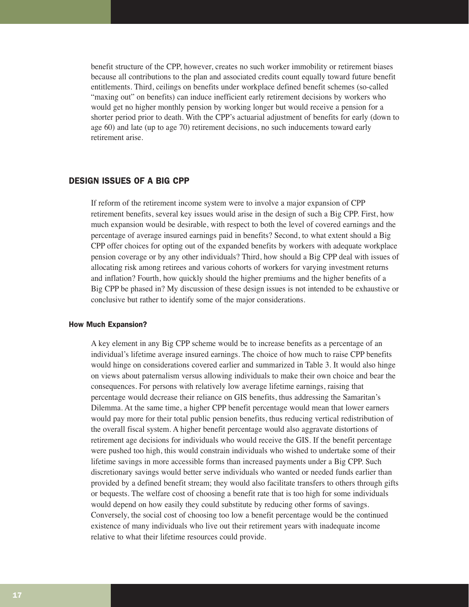benefit structure of the CPP, however, creates no such worker immobility or retirement biases because all contributions to the plan and associated credits count equally toward future benefit entitlements. Third, ceilings on benefits under workplace defined benefit schemes (so-called "maxing out" on benefits) can induce inefficient early retirement decisions by workers who would get no higher monthly pension by working longer but would receive a pension for a shorter period prior to death. With the CPP's actuarial adjustment of benefits for early (down to age 60) and late (up to age 70) retirement decisions, no such inducements toward early retirement arise.

#### DESIGN ISSUES OF A BIG CPP

If reform of the retirement income system were to involve a major expansion of CPP retirement benefits, several key issues would arise in the design of such a Big CPP. First, how much expansion would be desirable, with respect to both the level of covered earnings and the percentage of average insured earnings paid in benefits? Second, to what extent should a Big CPP offer choices for opting out of the expanded benefits by workers with adequate workplace pension coverage or by any other individuals? Third, how should a Big CPP deal with issues of allocating risk among retirees and various cohorts of workers for varying investment returns and inflation? Fourth, how quickly should the higher premiums and the higher benefits of a Big CPP be phased in? My discussion of these design issues is not intended to be exhaustive or conclusive but rather to identify some of the major considerations.

#### How Much Expansion?

A key element in any Big CPP scheme would be to increase benefits as a percentage of an individual's lifetime average insured earnings. The choice of how much to raise CPP benefits would hinge on considerations covered earlier and summarized in Table 3. It would also hinge on views about paternalism versus allowing individuals to make their own choice and bear the consequences. For persons with relatively low average lifetime earnings, raising that percentage would decrease their reliance on GIS benefits, thus addressing the Samaritan's Dilemma. At the same time, a higher CPP benefit percentage would mean that lower earners would pay more for their total public pension benefits, thus reducing vertical redistribution of the overall fiscal system. A higher benefit percentage would also aggravate distortions of retirement age decisions for individuals who would receive the GIS. If the benefit percentage were pushed too high, this would constrain individuals who wished to undertake some of their lifetime savings in more accessible forms than increased payments under a Big CPP. Such discretionary savings would better serve individuals who wanted or needed funds earlier than provided by a defined benefit stream; they would also facilitate transfers to others through gifts or bequests. The welfare cost of choosing a benefit rate that is too high for some individuals would depend on how easily they could substitute by reducing other forms of savings. Conversely, the social cost of choosing too low a benefit percentage would be the continued existence of many individuals who live out their retirement years with inadequate income relative to what their lifetime resources could provide.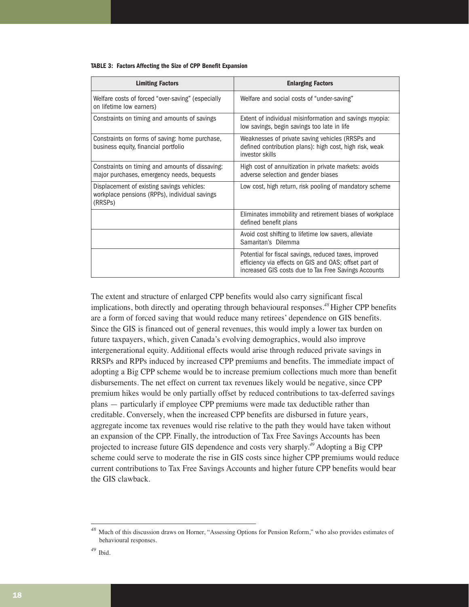|  |  |  |  |  |  |  | <b>TABLE 3: Factors Affecting the Size of CPP Benefit Expansion</b> |
|--|--|--|--|--|--|--|---------------------------------------------------------------------|
|--|--|--|--|--|--|--|---------------------------------------------------------------------|

| <b>Limiting Factors</b>                                                                                | <b>Enlarging Factors</b>                                                                                                                                               |  |  |  |  |
|--------------------------------------------------------------------------------------------------------|------------------------------------------------------------------------------------------------------------------------------------------------------------------------|--|--|--|--|
| Welfare costs of forced "over-saving" (especially<br>on lifetime low earners)                          | Welfare and social costs of "under-saving"                                                                                                                             |  |  |  |  |
| Constraints on timing and amounts of savings                                                           | Extent of individual misinformation and savings myopia:<br>low savings, begin savings too late in life                                                                 |  |  |  |  |
| Constraints on forms of saving: home purchase,<br>business equity, financial portfolio                 | Weaknesses of private saving vehicles (RRSPs and<br>defined contribution plans): high cost, high risk, weak<br>investor skills                                         |  |  |  |  |
| Constraints on timing and amounts of dissaving:<br>major purchases, emergency needs, bequests          | High cost of annuitization in private markets: avoids<br>adverse selection and gender biases                                                                           |  |  |  |  |
| Displacement of existing savings vehicles:<br>workplace pensions (RPPs), individual savings<br>(RRSPs) | Low cost, high return, risk pooling of mandatory scheme                                                                                                                |  |  |  |  |
|                                                                                                        | Eliminates immobility and retirement biases of workplace<br>defined benefit plans                                                                                      |  |  |  |  |
|                                                                                                        | Avoid cost shifting to lifetime low savers, alleviate<br>Samaritan's Dilemma                                                                                           |  |  |  |  |
|                                                                                                        | Potential for fiscal savings, reduced taxes, improved<br>efficiency via effects on GIS and OAS; offset part of<br>increased GIS costs due to Tax Free Savings Accounts |  |  |  |  |

The extent and structure of enlarged CPP benefits would also carry significant fiscal implications, both directly and operating through behavioural responses.<sup>48</sup>Higher CPP benefits are a form of forced saving that would reduce many retirees' dependence on GIS benefits. Since the GIS is financed out of general revenues, this would imply a lower tax burden on future taxpayers, which, given Canada's evolving demographics, would also improve intergenerational equity. Additional effects would arise through reduced private savings in RRSPs and RPPs induced by increased CPP premiums and benefits. The immediate impact of adopting a Big CPP scheme would be to increase premium collections much more than benefit disbursements. The net effect on current tax revenues likely would be negative, since CPP premium hikes would be only partially offset by reduced contributions to tax-deferred savings plans — particularly if employee CPP premiums were made tax deductible rather than creditable. Conversely, when the increased CPP benefits are disbursed in future years, aggregate income tax revenues would rise relative to the path they would have taken without an expansion of the CPP. Finally, the introduction of Tax Free Savings Accounts has been projected to increase future GIS dependence and costs very sharply.*<sup>49</sup>* Adopting a Big CPP scheme could serve to moderate the rise in GIS costs since higher CPP premiums would reduce current contributions to Tax Free Savings Accounts and higher future CPP benefits would bear the GIS clawback.

*<sup>48</sup>* Much of this discussion draws on Horner, "Assessing Options for Pension Reform," who also provides estimates of behavioural responses.

*<sup>49</sup>* Ibid.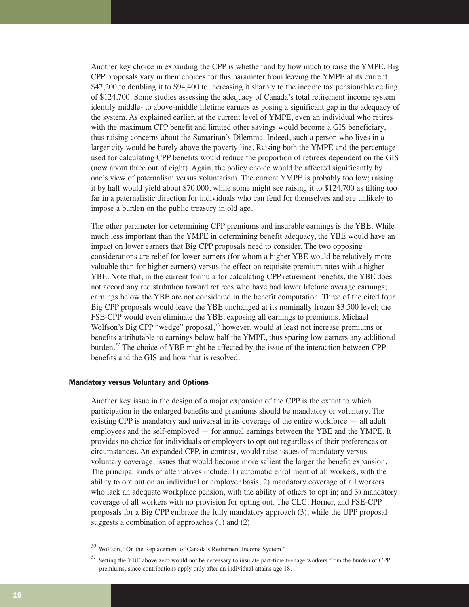Another key choice in expanding the CPP is whether and by how much to raise the YMPE. Big CPP proposals vary in their choices for this parameter from leaving the YMPE at its current \$47,200 to doubling it to \$94,400 to increasing it sharply to the income tax pensionable ceiling of \$124,700. Some studies assessing the adequacy of Canada's total retirement income system identify middle- to above-middle lifetime earners as posing a significant gap in the adequacy of the system. As explained earlier, at the current level of YMPE, even an individual who retires with the maximum CPP benefit and limited other savings would become a GIS beneficiary, thus raising concerns about the Samaritan's Dilemma. Indeed, such a person who lives in a larger city would be barely above the poverty line. Raising both the YMPE and the percentage used for calculating CPP benefits would reduce the proportion of retirees dependent on the GIS (now about three out of eight). Again, the policy choice would be affected significantly by one's view of paternalism versus voluntarism. The current YMPE is probably too low; raising it by half would yield about \$70,000, while some might see raising it to \$124,700 as tilting too far in a paternalistic direction for individuals who can fend for themselves and are unlikely to impose a burden on the public treasury in old age.

The other parameter for determining CPP premiums and insurable earnings is the YBE. While much less important than the YMPE in determining benefit adequacy, the YBE would have an impact on lower earners that Big CPP proposals need to consider. The two opposing considerations are relief for lower earners (for whom a higher YBE would be relatively more valuable than for higher earners) versus the effect on requisite premium rates with a higher YBE. Note that, in the current formula for calculating CPP retirement benefits, the YBE does not accord any redistribution toward retirees who have had lower lifetime average earnings; earnings below the YBE are not considered in the benefit computation. Three of the cited four Big CPP proposals would leave the YBE unchanged at its nominally frozen \$3,500 level; the FSE-CPP would even eliminate the YBE, exposing all earnings to premiums. Michael Wolfson's Big CPP "wedge" proposal,<sup>50</sup> however, would at least not increase premiums or benefits attributable to earnings below half the YMPE, thus sparing low earners any additional burden.*<sup>51</sup>* The choice of YBE might be affected by the issue of the interaction between CPP benefits and the GIS and how that is resolved.

#### Mandatory versus Voluntary and Options

Another key issue in the design of a major expansion of the CPP is the extent to which participation in the enlarged benefits and premiums should be mandatory or voluntary. The existing CPP is mandatory and universal in its coverage of the entire workforce — all adult employees and the self-employed — for annual earnings between the YBE and the YMPE. It provides no choice for individuals or employers to opt out regardless of their preferences or circumstances. An expanded CPP, in contrast, would raise issues of mandatory versus voluntary coverage, issues that would become more salient the larger the benefit expansion. The principal kinds of alternatives include: 1) automatic enrollment of all workers, with the ability to opt out on an individual or employer basis; 2) mandatory coverage of all workers who lack an adequate workplace pension, with the ability of others to opt in; and 3) mandatory coverage of all workers with no provision for opting out. The CLC, Horner, and FSE-CPP proposals for a Big CPP embrace the fully mandatory approach (3), while the UPP proposal suggests a combination of approaches (1) and (2).

*<sup>50</sup>* Wolfson, "On the Replacement of Canada's Retirement Income System."

Setting the YBE above zero would not be necessary to insulate part-time teenage workers from the burden of CPP premiums, since contributions apply only after an individual attains age 18.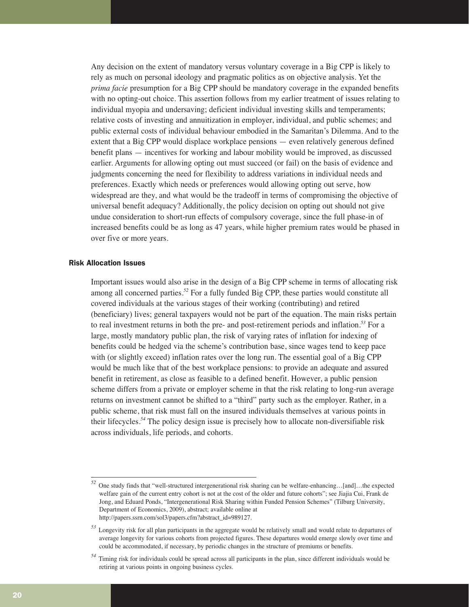Any decision on the extent of mandatory versus voluntary coverage in a Big CPP is likely to rely as much on personal ideology and pragmatic politics as on objective analysis. Yet the *prima facie* presumption for a Big CPP should be mandatory coverage in the expanded benefits with no opting-out choice. This assertion follows from my earlier treatment of issues relating to individual myopia and undersaving; deficient individual investing skills and temperaments; relative costs of investing and annuitization in employer, individual, and public schemes; and public external costs of individual behaviour embodied in the Samaritan's Dilemma. And to the extent that a Big CPP would displace workplace pensions — even relatively generous defined benefit plans — incentives for working and labour mobility would be improved, as discussed earlier. Arguments for allowing opting out must succeed (or fail) on the basis of evidence and judgments concerning the need for flexibility to address variations in individual needs and preferences. Exactly which needs or preferences would allowing opting out serve, how widespread are they, and what would be the tradeoff in terms of compromising the objective of universal benefit adequacy? Additionally, the policy decision on opting out should not give undue consideration to short-run effects of compulsory coverage, since the full phase-in of increased benefits could be as long as 47 years, while higher premium rates would be phased in over five or more years.

#### Risk Allocation Issues

Important issues would also arise in the design of a Big CPP scheme in terms of allocating risk among all concerned parties.*<sup>52</sup>* For a fully funded Big CPP, these parties would constitute all covered individuals at the various stages of their working (contributing) and retired (beneficiary) lives; general taxpayers would not be part of the equation. The main risks pertain to real investment returns in both the pre- and post-retirement periods and inflation.*<sup>53</sup>* For a large, mostly mandatory public plan, the risk of varying rates of inflation for indexing of benefits could be hedged via the scheme's contribution base, since wages tend to keep pace with (or slightly exceed) inflation rates over the long run. The essential goal of a Big CPP would be much like that of the best workplace pensions: to provide an adequate and assured benefit in retirement, as close as feasible to a defined benefit. However, a public pension scheme differs from a private or employer scheme in that the risk relating to long-run average returns on investment cannot be shifted to a "third" party such as the employer. Rather, in a public scheme, that risk must fall on the insured individuals themselves at various points in their lifecycles.*<sup>54</sup>* The policy design issue is precisely how to allocate non-diversifiable risk across individuals, life periods, and cohorts.

*<sup>52</sup>* One study finds that "well-structured intergenerational risk sharing can be welfare-enhancing…[and]…the expected welfare gain of the current entry cohort is not at the cost of the older and future cohorts"; see Jiajia Cui, Frank de Jong, and Eduard Ponds, "Intergenerational Risk Sharing within Funded Pension Schemes" (Tilburg University, Department of Economics, 2009), abstract; available online at http://papers.ssrn.com/sol3/papers.cfm?abstract\_id=989127.

*<sup>53</sup>* Longevity risk for all plan participants in the aggregate would be relatively small and would relate to departures of average longevity for various cohorts from projected figures. These departures would emerge slowly over time and could be accommodated, if necessary, by periodic changes in the structure of premiums or benefits.

*<sup>54</sup>* Timing risk for individuals could be spread across all participants in the plan, since different individuals would be retiring at various points in ongoing business cycles.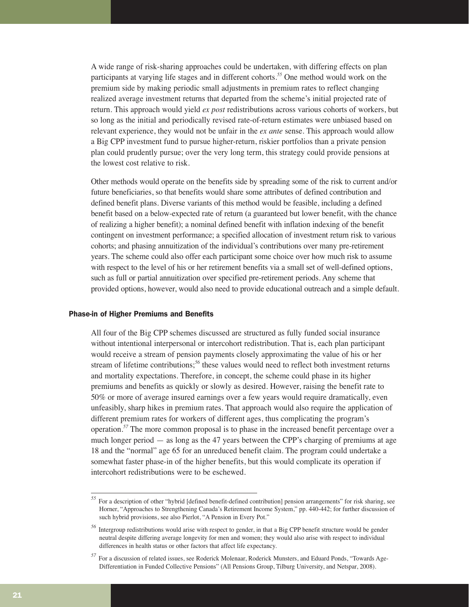A wide range of risk-sharing approaches could be undertaken, with differing effects on plan participants at varying life stages and in different cohorts.*<sup>55</sup>* One method would work on the premium side by making periodic small adjustments in premium rates to reflect changing realized average investment returns that departed from the scheme's initial projected rate of return. This approach would yield *ex post* redistributions across various cohorts of workers, but so long as the initial and periodically revised rate-of-return estimates were unbiased based on relevant experience, they would not be unfair in the *ex ante* sense. This approach would allow a Big CPP investment fund to pursue higher-return, riskier portfolios than a private pension plan could prudently pursue; over the very long term, this strategy could provide pensions at the lowest cost relative to risk.

Other methods would operate on the benefits side by spreading some of the risk to current and/or future beneficiaries, so that benefits would share some attributes of defined contribution and defined benefit plans. Diverse variants of this method would be feasible, including a defined benefit based on a below-expected rate of return (a guaranteed but lower benefit, with the chance of realizing a higher benefit); a nominal defined benefit with inflation indexing of the benefit contingent on investment performance; a specified allocation of investment return risk to various cohorts; and phasing annuitization of the individual's contributions over many pre-retirement years. The scheme could also offer each participant some choice over how much risk to assume with respect to the level of his or her retirement benefits via a small set of well-defined options, such as full or partial annuitization over specified pre-retirement periods. Any scheme that provided options, however, would also need to provide educational outreach and a simple default.

#### Phase-in of Higher Premiums and Benefits

All four of the Big CPP schemes discussed are structured as fully funded social insurance without intentional interpersonal or intercohort redistribution. That is, each plan participant would receive a stream of pension payments closely approximating the value of his or her stream of lifetime contributions;*<sup>56</sup>* these values would need to reflect both investment returns and mortality expectations. Therefore, in concept, the scheme could phase in its higher premiums and benefits as quickly or slowly as desired. However, raising the benefit rate to 50% or more of average insured earnings over a few years would require dramatically, even unfeasibly, sharp hikes in premium rates. That approach would also require the application of different premium rates for workers of different ages, thus complicating the program's operation.*<sup>57</sup>* The more common proposal is to phase in the increased benefit percentage over a much longer period  $-$  as long as the 47 years between the CPP's charging of premiums at age 18 and the "normal" age 65 for an unreduced benefit claim. The program could undertake a somewhat faster phase-in of the higher benefits, but this would complicate its operation if intercohort redistributions were to be eschewed.

<sup>&</sup>lt;sup>55</sup> For a description of other "hybrid [defined benefit-defined contribution] pension arrangements" for risk sharing, see Horner, "Approaches to Strengthening Canada's Retirement Income System," pp. 440-442; for further discussion of such hybrid provisions, see also Pierlot, "A Pension in Every Pot."

*<sup>56</sup>* Intergroup redistributions would arise with respect to gender, in that a Big CPP benefit structure would be gender neutral despite differing average longevity for men and women; they would also arise with respect to individual differences in health status or other factors that affect life expectancy.

*<sup>57</sup>* For a discussion of related issues, see Roderick Molenaar, Roderick Munsters, and Eduard Ponds, "Towards Age-Differentiation in Funded Collective Pensions" (All Pensions Group, Tilburg University, and Netspar, 2008).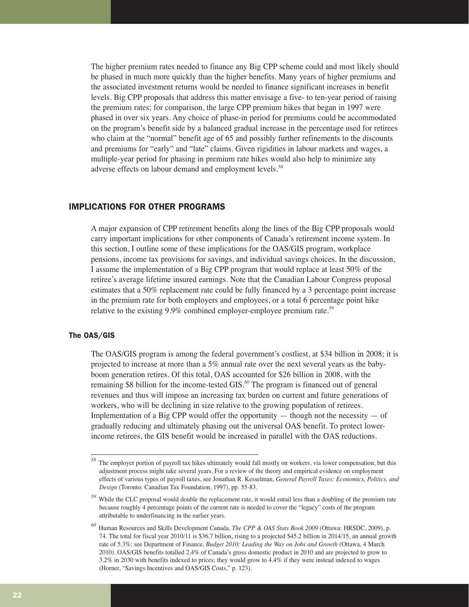The higher premium rates needed to finance any Big CPP scheme could and most likely should be phased in much more quickly than the higher benefits. Many years of higher premiums and the associated investment returns would be needed to finance significant increases in benefit levels. Big CPP proposals that address this matter envisage a five- to ten-year period of raising the premium rates; for comparison, the large CPP premium hikes that began in 1997 were phased in over six years. Any choice of phase-in period for premiums could be accommodated on the program's benefit side by a balanced gradual increase in the percentage used for retirees who claim at the "normal" benefit age of 65 and possibly further refinements to the discounts and premiums for "early" and "late" claims. Given rigidities in labour markets and wages, a multiple-year period for phasing in premium rate hikes would also help to minimize any adverse effects on labour demand and employment levels.*<sup>58</sup>*

#### IMPLICATIONS FOR OTHER PROGRAMS

A major expansion of CPP retirement benefits along the lines of the Big CPP proposals would carry important implications for other components of Canada's retirement income system. In this section, I outline some of these implications for the OAS/GIS program, workplace pensions, income tax provisions for savings, and individual savings choices. In the discussion, I assume the implementation of a Big CPP program that would replace at least 50% of the retiree's average lifetime insured earnings. Note that the Canadian Labour Congress proposal estimates that a 50% replacement rate could be fully financed by a 3 percentage point increase in the premium rate for both employers and employees, or a total 6 percentage point hike relative to the existing 9.9% combined employer-employee premium rate.*<sup>59</sup>*

#### The OAS/GIS

The OAS/GIS program is among the federal government's costliest, at \$34 billion in 2008; it is projected to increase at more than a 5% annual rate over the next several years as the babyboom generation retires. Of this total, OAS accounted for \$26 billion in 2008, with the remaining \$8 billion for the income-tested GIS.*<sup>60</sup>* The program is financed out of general revenues and thus will impose an increasing tax burden on current and future generations of workers, who will be declining in size relative to the growing population of retirees. Implementation of a Big CPP would offer the opportunity  $-$  though not the necessity  $-$  of gradually reducing and ultimately phasing out the universal OAS benefit. To protect lowerincome retirees, the GIS benefit would be increased in parallel with the OAS reductions.

*<sup>58</sup>* The employer portion of payroll tax hikes ultimately would fall mostly on workers, via lower compensation, but this adjustment process might take several years. For a review of the theory and empirical evidence on employment effects of various types of payroll taxes, see Jonathan R. Kesselman, *General Payroll Taxes: Economics, Politics, and Design* (Toronto: Canadian Tax Foundation, 1997), pp. 55-83.

*<sup>59</sup>* While the CLC proposal would double the replacement rate, it would entail less than a doubling of the premium rate because roughly 4 percentage points of the current rate is needed to cover the "legacy" costs of the program attributable to underfinancing in the earlier years.

*<sup>60</sup>* Human Resources and Skills Development Canada, *The CPP & OAS Stats Book 2009* (Ottawa: HRSDC, 2009), p. 74. The total for fiscal year 2010/11 is \$36.7 billion, rising to a projected \$45.2 billion in 2014/15, an annual growth rate of 5.3%; see Department of Finance, *Budget 2010: Leading the Way on Jobs and Growth* (Ottawa, 4 March 2010). OAS/GIS benefits totalled 2.4% of Canada's gross domestic product in 2010 and are projected to grow to 3.2% in 2030 with benefits indexed to prices; they would grow to 4.4% if they were instead indexed to wages (Horner, "Savings Incentives and OAS/GIS Costs," p. 123).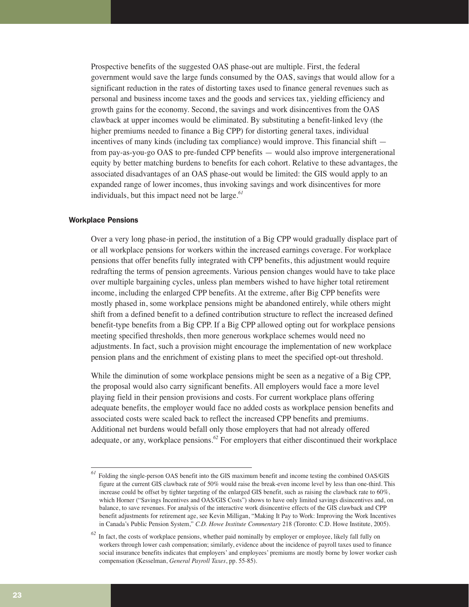Prospective benefits of the suggested OAS phase-out are multiple. First, the federal government would save the large funds consumed by the OAS, savings that would allow for a significant reduction in the rates of distorting taxes used to finance general revenues such as personal and business income taxes and the goods and services tax, yielding efficiency and growth gains for the economy. Second, the savings and work disincentives from the OAS clawback at upper incomes would be eliminated. By substituting a benefit-linked levy (the higher premiums needed to finance a Big CPP) for distorting general taxes, individual incentives of many kinds (including tax compliance) would improve. This financial shift from pay-as-you-go OAS to pre-funded CPP benefits — would also improve intergenerational equity by better matching burdens to benefits for each cohort. Relative to these advantages, the associated disadvantages of an OAS phase-out would be limited: the GIS would apply to an expanded range of lower incomes, thus invoking savings and work disincentives for more individuals, but this impact need not be large.*<sup>61</sup>*

#### Workplace Pensions

Over a very long phase-in period, the institution of a Big CPP would gradually displace part of or all workplace pensions for workers within the increased earnings coverage. For workplace pensions that offer benefits fully integrated with CPP benefits, this adjustment would require redrafting the terms of pension agreements. Various pension changes would have to take place over multiple bargaining cycles, unless plan members wished to have higher total retirement income, including the enlarged CPP benefits. At the extreme, after Big CPP benefits were mostly phased in, some workplace pensions might be abandoned entirely, while others might shift from a defined benefit to a defined contribution structure to reflect the increased defined benefit-type benefits from a Big CPP. If a Big CPP allowed opting out for workplace pensions meeting specified thresholds, then more generous workplace schemes would need no adjustments. In fact, such a provision might encourage the implementation of new workplace pension plans and the enrichment of existing plans to meet the specified opt-out threshold.

While the diminution of some workplace pensions might be seen as a negative of a Big CPP, the proposal would also carry significant benefits. All employers would face a more level playing field in their pension provisions and costs. For current workplace plans offering adequate benefits, the employer would face no added costs as workplace pension benefits and associated costs were scaled back to reflect the increased CPP benefits and premiums. Additional net burdens would befall only those employers that had not already offered adequate, or any, workplace pensions.*<sup>62</sup>* For employers that either discontinued their workplace

*<sup>61</sup>* Folding the single-person OAS benefit into the GIS maximum benefit and income testing the combined OAS/GIS figure at the current GIS clawback rate of 50% would raise the break-even income level by less than one-third. This increase could be offset by tighter targeting of the enlarged GIS benefit, such as raising the clawback rate to 60%, which Horner ("Savings Incentives and OAS/GIS Costs") shows to have only limited savings disincentives and, on balance, to save revenues. For analysis of the interactive work disincentive effects of the GIS clawback and CPP benefit adjustments for retirement age, see Kevin Milligan, "Making It Pay to Work: Improving the Work Incentives in Canada's Public Pension System," *C.D. Howe Institute Commentary* 218 (Toronto: C.D. Howe Institute, 2005).

*<sup>62</sup>* In fact, the costs of workplace pensions, whether paid nominally by employer or employee, likely fall fully on workers through lower cash compensation; similarly, evidence about the incidence of payroll taxes used to finance social insurance benefits indicates that employers' and employees' premiums are mostly borne by lower worker cash compensation (Kesselman, *General Payroll Taxes*, pp. 55-85).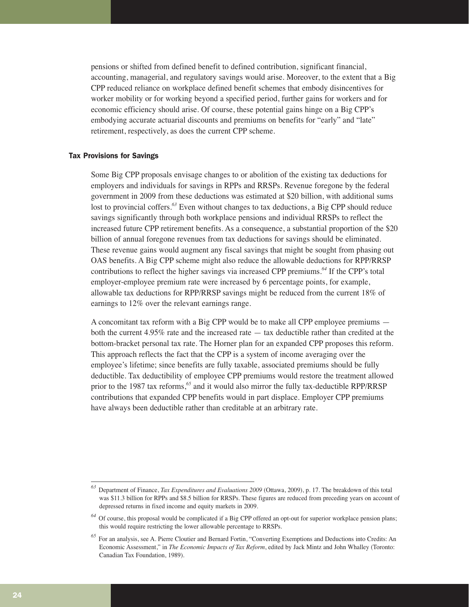pensions or shifted from defined benefit to defined contribution, significant financial, accounting, managerial, and regulatory savings would arise. Moreover, to the extent that a Big CPP reduced reliance on workplace defined benefit schemes that embody disincentives for worker mobility or for working beyond a specified period, further gains for workers and for economic efficiency should arise. Of course, these potential gains hinge on a Big CPP's embodying accurate actuarial discounts and premiums on benefits for "early" and "late" retirement, respectively, as does the current CPP scheme.

#### Tax Provisions for Savings

Some Big CPP proposals envisage changes to or abolition of the existing tax deductions for employers and individuals for savings in RPPs and RRSPs. Revenue foregone by the federal government in 2009 from these deductions was estimated at \$20 billion, with additional sums lost to provincial coffers.*<sup>63</sup>* Even without changes to tax deductions, a Big CPP should reduce savings significantly through both workplace pensions and individual RRSPs to reflect the increased future CPP retirement benefits. As a consequence, a substantial proportion of the \$20 billion of annual foregone revenues from tax deductions for savings should be eliminated. These revenue gains would augment any fiscal savings that might be sought from phasing out OAS benefits. A Big CPP scheme might also reduce the allowable deductions for RPP/RRSP contributions to reflect the higher savings via increased CPP premiums.*<sup>64</sup>* If the CPP's total employer-employee premium rate were increased by 6 percentage points, for example, allowable tax deductions for RPP/RRSP savings might be reduced from the current 18% of earnings to 12% over the relevant earnings range.

A concomitant tax reform with a Big CPP would be to make all CPP employee premiums both the current 4.95% rate and the increased rate — tax deductible rather than credited at the bottom-bracket personal tax rate. The Horner plan for an expanded CPP proposes this reform. This approach reflects the fact that the CPP is a system of income averaging over the employee's lifetime; since benefits are fully taxable, associated premiums should be fully deductible. Tax deductibility of employee CPP premiums would restore the treatment allowed prior to the 1987 tax reforms,*<sup>65</sup>* and it would also mirror the fully tax-deductible RPP/RRSP contributions that expanded CPP benefits would in part displace. Employer CPP premiums have always been deductible rather than creditable at an arbitrary rate.

*<sup>63</sup>* Department of Finance, *Tax Expenditures and Evaluations 2009* (Ottawa, 2009), p. 17. The breakdown of this total was \$11.3 billion for RPPs and \$8.5 billion for RRSPs. These figures are reduced from preceding years on account of depressed returns in fixed income and equity markets in 2009.

*<sup>64</sup>* Of course, this proposal would be complicated if a Big CPP offered an opt-out for superior workplace pension plans; this would require restricting the lower allowable percentage to RRSPs.

*<sup>65</sup>* For an analysis, see A. Pierre Cloutier and Bernard Fortin, "Converting Exemptions and Deductions into Credits: An Economic Assessment," in *The Economic Impacts of Tax Reform*, edited by Jack Mintz and John Whalley (Toronto: Canadian Tax Foundation, 1989).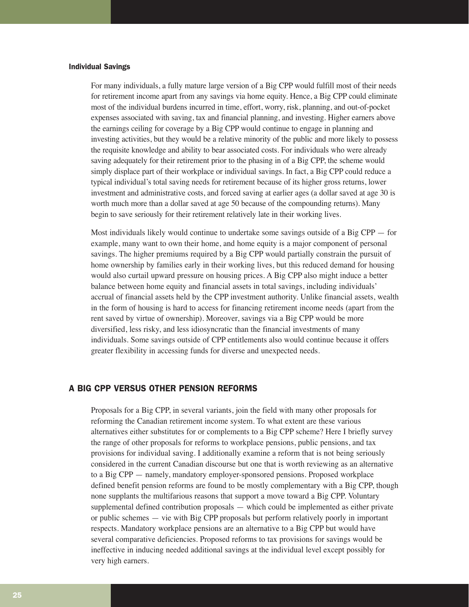#### Individual Savings

For many individuals, a fully mature large version of a Big CPP would fulfill most of their needs for retirement income apart from any savings via home equity. Hence, a Big CPP could eliminate most of the individual burdens incurred in time, effort, worry, risk, planning, and out-of-pocket expenses associated with saving, tax and financial planning, and investing. Higher earners above the earnings ceiling for coverage by a Big CPP would continue to engage in planning and investing activities, but they would be a relative minority of the public and more likely to possess the requisite knowledge and ability to bear associated costs. For individuals who were already saving adequately for their retirement prior to the phasing in of a Big CPP, the scheme would simply displace part of their workplace or individual savings. In fact, a Big CPP could reduce a typical individual's total saving needs for retirement because of its higher gross returns, lower investment and administrative costs, and forced saving at earlier ages (a dollar saved at age 30 is worth much more than a dollar saved at age 50 because of the compounding returns). Many begin to save seriously for their retirement relatively late in their working lives.

Most individuals likely would continue to undertake some savings outside of a Big  $\text{CPP}$  — for example, many want to own their home, and home equity is a major component of personal savings. The higher premiums required by a Big CPP would partially constrain the pursuit of home ownership by families early in their working lives, but this reduced demand for housing would also curtail upward pressure on housing prices. A Big CPP also might induce a better balance between home equity and financial assets in total savings, including individuals' accrual of financial assets held by the CPP investment authority. Unlike financial assets, wealth in the form of housing is hard to access for financing retirement income needs (apart from the rent saved by virtue of ownership). Moreover, savings via a Big CPP would be more diversified, less risky, and less idiosyncratic than the financial investments of many individuals. Some savings outside of CPP entitlements also would continue because it offers greater flexibility in accessing funds for diverse and unexpected needs.

#### A BIG CPP VERSUS OTHER PENSION REFORMS

Proposals for a Big CPP, in several variants, join the field with many other proposals for reforming the Canadian retirement income system. To what extent are these various alternatives either substitutes for or complements to a Big CPP scheme? Here I briefly survey the range of other proposals for reforms to workplace pensions, public pensions, and tax provisions for individual saving. I additionally examine a reform that is not being seriously considered in the current Canadian discourse but one that is worth reviewing as an alternative to a Big CPP — namely, mandatory employer-sponsored pensions. Proposed workplace defined benefit pension reforms are found to be mostly complementary with a Big CPP, though none supplants the multifarious reasons that support a move toward a Big CPP. Voluntary supplemental defined contribution proposals — which could be implemented as either private or public schemes — vie with Big CPP proposals but perform relatively poorly in important respects. Mandatory workplace pensions are an alternative to a Big CPP but would have several comparative deficiencies. Proposed reforms to tax provisions for savings would be ineffective in inducing needed additional savings at the individual level except possibly for very high earners.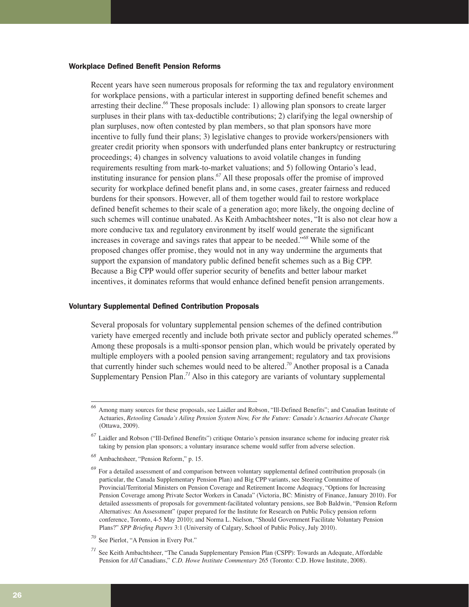#### Workplace Defined Benefit Pension Reforms

Recent years have seen numerous proposals for reforming the tax and regulatory environment for workplace pensions, with a particular interest in supporting defined benefit schemes and arresting their decline.*<sup>66</sup>* These proposals include: 1) allowing plan sponsors to create larger surpluses in their plans with tax-deductible contributions; 2) clarifying the legal ownership of plan surpluses, now often contested by plan members, so that plan sponsors have more incentive to fully fund their plans; 3) legislative changes to provide workers/pensioners with greater credit priority when sponsors with underfunded plans enter bankruptcy or restructuring proceedings; 4) changes in solvency valuations to avoid volatile changes in funding requirements resulting from mark-to-market valuations; and 5) following Ontario's lead, instituting insurance for pension plans.*<sup>67</sup>* All these proposals offer the promise of improved security for workplace defined benefit plans and, in some cases, greater fairness and reduced burdens for their sponsors. However, all of them together would fail to restore workplace defined benefit schemes to their scale of a generation ago; more likely, the ongoing decline of such schemes will continue unabated. As Keith Ambachtsheer notes, "It is also not clear how a more conducive tax and regulatory environment by itself would generate the significant increases in coverage and savings rates that appear to be needed."*<sup>68</sup>* While some of the proposed changes offer promise, they would not in any way undermine the arguments that support the expansion of mandatory public defined benefit schemes such as a Big CPP. Because a Big CPP would offer superior security of benefits and better labour market incentives, it dominates reforms that would enhance defined benefit pension arrangements.

#### Voluntary Supplemental Defined Contribution Proposals

Several proposals for voluntary supplemental pension schemes of the defined contribution variety have emerged recently and include both private sector and publicly operated schemes.*<sup>69</sup>* Among these proposals is a multi-sponsor pension plan, which would be privately operated by multiple employers with a pooled pension saving arrangement; regulatory and tax provisions that currently hinder such schemes would need to be altered.*<sup>70</sup>* Another proposal is a Canada Supplementary Pension Plan.*<sup>71</sup>* Also in this category are variants of voluntary supplemental

*<sup>66</sup>* Among many sources for these proposals, see Laidler and Robson, "Ill-Defined Benefits"; and Canadian Institute of Actuaries, *Retooling Canada's Ailing Pension System Now, For the Future: Canada's Actuaries Advocate Change* (Ottawa, 2009).

Laidler and Robson ("Ill-Defined Benefits") critique Ontario's pension insurance scheme for inducing greater risk taking by pension plan sponsors; a voluntary insurance scheme would suffer from adverse selection.

*<sup>68</sup>* Ambachtsheer, "Pension Reform," p. 15.

*<sup>69</sup>* For a detailed assessment of and comparison between voluntary supplemental defined contribution proposals (in particular, the Canada Supplementary Pension Plan) and Big CPP variants, see Steering Committee of Provincial/Territorial Ministers on Pension Coverage and Retirement Income Adequacy, "Options for Increasing Pension Coverage among Private Sector Workers in Canada" (Victoria, BC: Ministry of Finance, January 2010). For detailed assessments of proposals for government-facilitated voluntary pensions, see Bob Baldwin, "Pension Reform Alternatives: An Assessment" (paper prepared for the Institute for Research on Public Policy pension reform conference, Toronto, 4-5 May 2010); and Norma L. Nielson, "Should Government Facilitate Voluntary Pension Plans?" *SPP Briefing Papers* 3:1 (University of Calgary, School of Public Policy, July 2010).

*<sup>70</sup>* See Pierlot, "A Pension in Every Pot."

*<sup>71</sup>* See Keith Ambachtsheer, "The Canada Supplementary Pension Plan (CSPP): Towards an Adequate, Affordable Pension for *All* Canadians," *C.D. Howe Institute Commentary* 265 (Toronto: C.D. Howe Institute, 2008).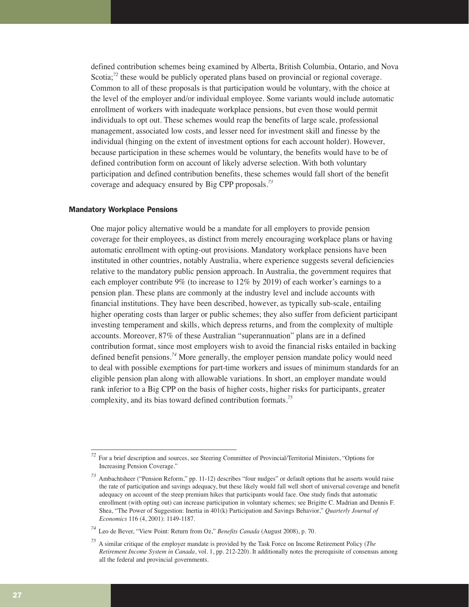defined contribution schemes being examined by Alberta, British Columbia, Ontario, and Nova Scotia;<sup>72</sup> these would be publicly operated plans based on provincial or regional coverage. Common to all of these proposals is that participation would be voluntary, with the choice at the level of the employer and/or individual employee. Some variants would include automatic enrollment of workers with inadequate workplace pensions, but even those would permit individuals to opt out. These schemes would reap the benefits of large scale, professional management, associated low costs, and lesser need for investment skill and finesse by the individual (hinging on the extent of investment options for each account holder). However, because participation in these schemes would be voluntary, the benefits would have to be of defined contribution form on account of likely adverse selection. With both voluntary participation and defined contribution benefits, these schemes would fall short of the benefit coverage and adequacy ensured by Big CPP proposals.*<sup>73</sup>*

#### Mandatory Workplace Pensions

One major policy alternative would be a mandate for all employers to provide pension coverage for their employees, as distinct from merely encouraging workplace plans or having automatic enrollment with opting-out provisions. Mandatory workplace pensions have been instituted in other countries, notably Australia, where experience suggests several deficiencies relative to the mandatory public pension approach. In Australia, the government requires that each employer contribute 9% (to increase to 12% by 2019) of each worker's earnings to a pension plan. These plans are commonly at the industry level and include accounts with financial institutions. They have been described, however, as typically sub-scale, entailing higher operating costs than larger or public schemes; they also suffer from deficient participant investing temperament and skills, which depress returns, and from the complexity of multiple accounts. Moreover, 87% of these Australian "superannuation" plans are in a defined contribution format, since most employers wish to avoid the financial risks entailed in backing defined benefit pensions.*<sup>74</sup>* More generally, the employer pension mandate policy would need to deal with possible exemptions for part-time workers and issues of minimum standards for an eligible pension plan along with allowable variations. In short, an employer mandate would rank inferior to a Big CPP on the basis of higher costs, higher risks for participants, greater complexity, and its bias toward defined contribution formats.*<sup>75</sup>*

*<sup>74</sup>* Leo de Bever, "View Point: Return from Oz," *Benefits Canada* (August 2008), p. 70.

*<sup>72</sup>* For a brief description and sources, see Steering Committee of Provincial/Territorial Ministers, "Options for Increasing Pension Coverage."

*<sup>73</sup>* Ambachtsheer ("Pension Reform," pp. 11-12) describes "four nudges" or default options that he asserts would raise the rate of participation and savings adequacy, but these likely would fall well short of universal coverage and benefit adequacy on account of the steep premium hikes that participants would face. One study finds that automatic enrollment (with opting out) can increase participation in voluntary schemes; see Brigitte C. Madrian and Dennis F. Shea, "The Power of Suggestion: Inertia in 401(k) Participation and Savings Behavior," *Quarterly Journal of Economics* 116 (4, 2001): 1149-1187.

*<sup>75</sup>* A similar critique of the employer mandate is provided by the Task Force on Income Retirement Policy (*The Retirement Income System in Canada*, vol. 1, pp. 212-220). It additionally notes the prerequisite of consensus among all the federal and provincial governments.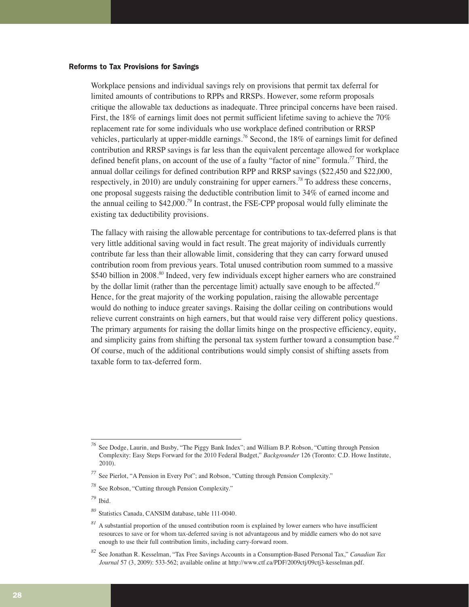#### Reforms to Tax Provisions for Savings

Workplace pensions and individual savings rely on provisions that permit tax deferral for limited amounts of contributions to RPPs and RRSPs. However, some reform proposals critique the allowable tax deductions as inadequate. Three principal concerns have been raised. First, the 18% of earnings limit does not permit sufficient lifetime saving to achieve the 70% replacement rate for some individuals who use workplace defined contribution or RRSP vehicles, particularly at upper-middle earnings.*<sup>76</sup>* Second, the 18% of earnings limit for defined contribution and RRSP savings is far less than the equivalent percentage allowed for workplace defined benefit plans, on account of the use of a faulty "factor of nine" formula.*<sup>77</sup>* Third, the annual dollar ceilings for defined contribution RPP and RRSP savings (\$22,450 and \$22,000, respectively, in 2010) are unduly constraining for upper earners.*<sup>78</sup>* To address these concerns, one proposal suggests raising the deductible contribution limit to 34% of earned income and the annual ceiling to \$42,000.*<sup>79</sup>* In contrast, the FSE-CPP proposal would fully eliminate the existing tax deductibility provisions.

The fallacy with raising the allowable percentage for contributions to tax-deferred plans is that very little additional saving would in fact result. The great majority of individuals currently contribute far less than their allowable limit, considering that they can carry forward unused contribution room from previous years. Total unused contribution room summed to a massive \$540 billion in 2008.*<sup>80</sup>* Indeed, very few individuals except higher earners who are constrained by the dollar limit (rather than the percentage limit) actually save enough to be affected.*<sup>81</sup>* Hence, for the great majority of the working population, raising the allowable percentage would do nothing to induce greater savings. Raising the dollar ceiling on contributions would relieve current constraints on high earners, but that would raise very different policy questions. The primary arguments for raising the dollar limits hinge on the prospective efficiency, equity, and simplicity gains from shifting the personal tax system further toward a consumption base.*<sup>82</sup>* Of course, much of the additional contributions would simply consist of shifting assets from taxable form to tax-deferred form.

*<sup>76</sup>* See Dodge, Laurin, and Busby, "The Piggy Bank Index"; and William B.P. Robson, "Cutting through Pension Complexity: Easy Steps Forward for the 2010 Federal Budget," *Backgrounder* 126 (Toronto: C.D. Howe Institute, 2010).

*<sup>77</sup>* See Pierlot, "A Pension in Every Pot"; and Robson, "Cutting through Pension Complexity."

*<sup>78</sup>* See Robson, "Cutting through Pension Complexity."

*<sup>79</sup>* Ibid.

*<sup>80</sup>* Statistics Canada, CANSIM database, table 111-0040.

*<sup>81</sup>* A substantial proportion of the unused contribution room is explained by lower earners who have insufficient resources to save or for whom tax-deferred saving is not advantageous and by middle earners who do not save enough to use their full contribution limits, including carry-forward room.

*<sup>82</sup>* See Jonathan R. Kesselman, "Tax Free Savings Accounts in a Consumption-Based Personal Tax," *Canadian Tax Journal* 57 (3, 2009): 533-562; available online at http://www.ctf.ca/PDF/2009ctj/09ctj3-kesselman.pdf.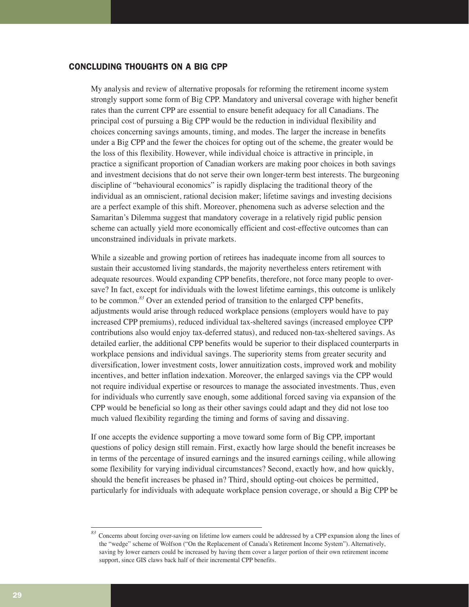#### CONCLUDING THOUGHTS ON A BIG CPP

My analysis and review of alternative proposals for reforming the retirement income system strongly support some form of Big CPP. Mandatory and universal coverage with higher benefit rates than the current CPP are essential to ensure benefit adequacy for all Canadians. The principal cost of pursuing a Big CPP would be the reduction in individual flexibility and choices concerning savings amounts, timing, and modes. The larger the increase in benefits under a Big CPP and the fewer the choices for opting out of the scheme, the greater would be the loss of this flexibility. However, while individual choice is attractive in principle, in practice a significant proportion of Canadian workers are making poor choices in both savings and investment decisions that do not serve their own longer-term best interests. The burgeoning discipline of "behavioural economics" is rapidly displacing the traditional theory of the individual as an omniscient, rational decision maker; lifetime savings and investing decisions are a perfect example of this shift. Moreover, phenomena such as adverse selection and the Samaritan's Dilemma suggest that mandatory coverage in a relatively rigid public pension scheme can actually yield more economically efficient and cost-effective outcomes than can unconstrained individuals in private markets.

While a sizeable and growing portion of retirees has inadequate income from all sources to sustain their accustomed living standards, the majority nevertheless enters retirement with adequate resources. Would expanding CPP benefits, therefore, not force many people to oversave? In fact, except for individuals with the lowest lifetime earnings, this outcome is unlikely to be common.*<sup>83</sup>* Over an extended period of transition to the enlarged CPP benefits, adjustments would arise through reduced workplace pensions (employers would have to pay increased CPP premiums), reduced individual tax-sheltered savings (increased employee CPP contributions also would enjoy tax-deferred status), and reduced non-tax-sheltered savings. As detailed earlier, the additional CPP benefits would be superior to their displaced counterparts in workplace pensions and individual savings. The superiority stems from greater security and diversification, lower investment costs, lower annuitization costs, improved work and mobility incentives, and better inflation indexation. Moreover, the enlarged savings via the CPP would not require individual expertise or resources to manage the associated investments. Thus, even for individuals who currently save enough, some additional forced saving via expansion of the CPP would be beneficial so long as their other savings could adapt and they did not lose too much valued flexibility regarding the timing and forms of saving and dissaving.

If one accepts the evidence supporting a move toward some form of Big CPP, important questions of policy design still remain. First, exactly how large should the benefit increases be in terms of the percentage of insured earnings and the insured earnings ceiling, while allowing some flexibility for varying individual circumstances? Second, exactly how, and how quickly, should the benefit increases be phased in? Third, should opting-out choices be permitted, particularly for individuals with adequate workplace pension coverage, or should a Big CPP be

*<sup>83</sup>* Concerns about forcing over-saving on lifetime low earners could be addressed by a CPP expansion along the lines of the "wedge" scheme of Wolfson ("On the Replacement of Canada's Retirement Income System"). Alternatively, saving by lower earners could be increased by having them cover a larger portion of their own retirement income support, since GIS claws back half of their incremental CPP benefits.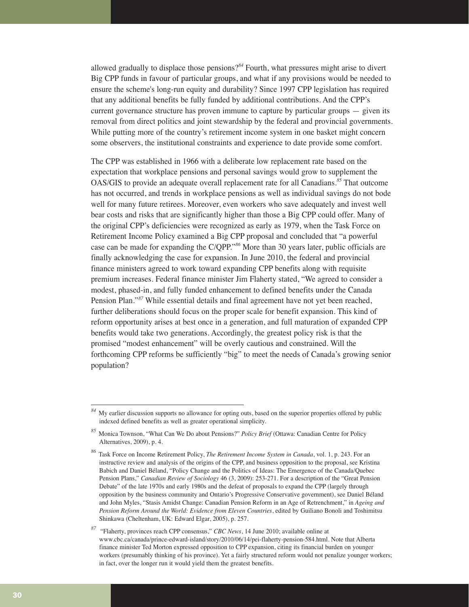allowed gradually to displace those pensions?*<sup>84</sup>* Fourth, what pressures might arise to divert Big CPP funds in favour of particular groups, and what if any provisions would be needed to ensure the scheme's long-run equity and durability? Since 1997 CPP legislation has required that any additional benefits be fully funded by additional contributions. And the CPP's current governance structure has proven immune to capture by particular groups — given its removal from direct politics and joint stewardship by the federal and provincial governments. While putting more of the country's retirement income system in one basket might concern some observers, the institutional constraints and experience to date provide some comfort.

The CPP was established in 1966 with a deliberate low replacement rate based on the expectation that workplace pensions and personal savings would grow to supplement the OAS/GIS to provide an adequate overall replacement rate for all Canadians.*<sup>85</sup>* That outcome has not occurred, and trends in workplace pensions as well as individual savings do not bode well for many future retirees. Moreover, even workers who save adequately and invest well bear costs and risks that are significantly higher than those a Big CPP could offer. Many of the original CPP's deficiencies were recognized as early as 1979, when the Task Force on Retirement Income Policy examined a Big CPP proposal and concluded that "a powerful case can be made for expanding the C/QPP."*<sup>86</sup>* More than 30 years later, public officials are finally acknowledging the case for expansion. In June 2010, the federal and provincial finance ministers agreed to work toward expanding CPP benefits along with requisite premium increases. Federal finance minister Jim Flaherty stated, "We agreed to consider a modest, phased-in, and fully funded enhancement to defined benefits under the Canada Pension Plan."<sup>87</sup> While essential details and final agreement have not yet been reached, further deliberations should focus on the proper scale for benefit expansion. This kind of reform opportunity arises at best once in a generation, and full maturation of expanded CPP benefits would take two generations. Accordingly, the greatest policy risk is that the promised "modest enhancement" will be overly cautious and constrained. Will the forthcoming CPP reforms be sufficiently "big" to meet the needs of Canada's growing senior population?

*<sup>84</sup>* My earlier discussion supports no allowance for opting outs, based on the superior properties offered by public indexed defined benefits as well as greater operational simplicity.

*<sup>85</sup>* Monica Townson, "What Can We Do about Pensions?" *Policy Brief* (Ottawa: Canadian Centre for Policy Alternatives, 2009), p. 4.

*<sup>86</sup>* Task Force on Income Retirement Policy, *The Retirement Income System in Canada*, vol. 1, p. 243. For an instructive review and analysis of the origins of the CPP, and business opposition to the proposal, see Kristina Babich and Daniel Béland, "Policy Change and the Politics of Ideas: The Emergence of the Canada/Quebec Pension Plans," *Canadian Review of Sociology* 46 (3, 2009): 253-271. For a description of the "Great Pension Debate" of the late 1970s and early 1980s and the defeat of proposals to expand the CPP (largely through opposition by the business community and Ontario's Progressive Conservative government), see Daniel Béland and John Myles, "Stasis Amidst Change: Canadian Pension Reform in an Age of Retrenchment," in *Ageing and Pension Reform Around the World: Evidence from Eleven Countries*, edited by Guiliano Bonoli and Toshimitsu Shinkawa (Cheltenham, UK: Edward Elgar, 2005), p. 257.

*<sup>87</sup>* "Flaherty, provinces reach CPP consensus," *CBC News*, 14 June 2010; available online at www.cbc.ca/canada/prince-edward-island/story/2010/06/14/pei-flaherty-pension-584.html. Note that Alberta finance minister Ted Morton expressed opposition to CPP expansion, citing its financial burden on younger workers (presumably thinking of his province). Yet a fairly structured reform would not penalize younger workers; in fact, over the longer run it would yield them the greatest benefits.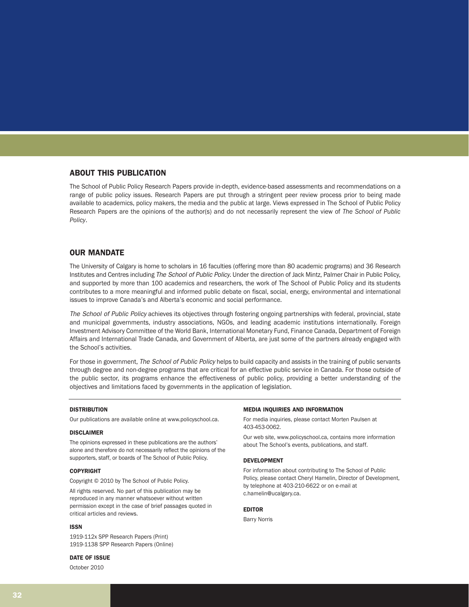#### ABOUT THIS PUBLICATION

The School of Public Policy Research Papers provide in-depth, evidence-based assessments and recommendations on a range of public policy issues. Research Papers are put through a stringent peer review process prior to being made available to academics, policy makers, the media and the public at large. Views expressed in The School of Public Policy Research Papers are the opinions of the author(s) and do not necessarily represent the view of *The School of Public Policy*.

#### OUR MANDATE

The University of Calgary is home to scholars in 16 faculties (offering more than 80 academic programs) and 36 Research Institutes and Centres including The School of Public Policy. Under the direction of Jack Mintz, Palmer Chair in Public Policy, and supported by more than 100 academics and researchers, the work of The School of Public Policy and its students contributes to a more meaningful and informed public debate on fiscal, social, energy, environmental and international issues to improve Canada's and Alberta's economic and social performance.

The School of Public Policy achieves its objectives through fostering ongoing partnerships with federal, provincial, state and municipal governments, industry associations, NGOs, and leading academic institutions internationally. Foreign Investment Advisory Committee of the World Bank, International Monetary Fund, Finance Canada, Department of Foreign Affairs and International Trade Canada, and Government of Alberta, are just some of the partners already engaged with the School's activities.

For those in government, The School of Public Policy helps to build capacity and assists in the training of public servants through degree and non-degree programs that are critical for an effective public service in Canada. For those outside of the public sector, its programs enhance the effectiveness of public policy, providing a better understanding of the objectives and limitations faced by governments in the application of legislation.

#### **DISTRIBUTION**

Our publications are available online at www.policyschool.ca.

#### **DISCLAIMER**

The opinions expressed in these publications are the authors' alone and therefore do not necessarily reflect the opinions of the supporters, staff, or boards of The School of Public Policy.

#### COPYRIGHT

Copyright © 2010 by The School of Public Policy.

All rights reserved. No part of this publication may be reproduced in any manner whatsoever without written permission except in the case of brief passages quoted in critical articles and reviews.

#### ISSN

1919-112x SPP Research Papers (Print) 1919-1138 SPP Research Papers (Online)

#### DATE OF ISSUE

October 2010

#### MEDIA INQUIRIES AND INFORMATION

For media inquiries, please contact Morten Paulsen at 403-453-0062.

Our web site, www.policyschool.ca, contains more information about The School's events, publications, and staff.

#### DEVELOPMENT

For information about contributing to The School of Public Policy, please contact Cheryl Hamelin, Director of Development, by telephone at 403-210-6622 or on e-mail at c.hamelin@ucalgary.ca.

#### EDITOR

Barry Norris